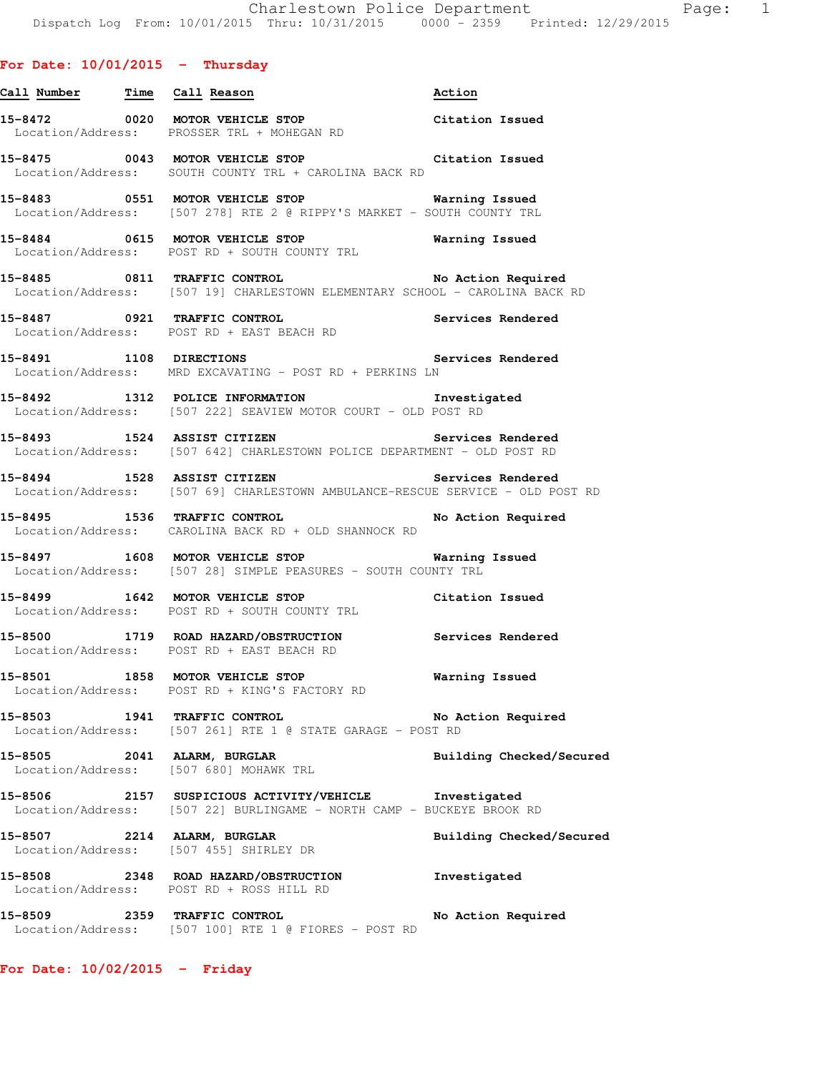## **For Date: 10/01/2015 - Thursday**

|         | <u>Call Number — Time Call Reason</u>                                                                                                    | Action                   |
|---------|------------------------------------------------------------------------------------------------------------------------------------------|--------------------------|
|         | 15-8472 0020 MOTOR VEHICLE STOP Citation Issued<br>Location/Address: PROSSER TRL + MOHEGAN RD                                            |                          |
|         | 15-8475 0043 MOTOR VEHICLE STOP Citation Issued<br>Location/Address: SOUTH COUNTY TRL + CAROLINA BACK RD                                 |                          |
|         | 15-8483 0551 MOTOR VEHICLE STOP 6 Warning Issued<br>Location/Address: [507 278] RTE 2 @ RIPPY'S MARKET - SOUTH COUNTY TRL                |                          |
|         | 15-8484 0615 MOTOR VEHICLE STOP <b>Warning Issued</b><br>Location/Address: POST RD + SOUTH COUNTY TRL                                    |                          |
|         | 15-8485 0811 TRAFFIC CONTROL No Action Required<br>Location/Address: [507 19] CHARLESTOWN ELEMENTARY SCHOOL - CAROLINA BACK RD           |                          |
|         |                                                                                                                                          |                          |
|         | 15-8491 1108 DIRECTIONS Services Rendered<br>Location/Address: MRD EXCAVATING - POST RD + PERKINS LN                                     |                          |
|         | 15-8492 1312 POLICE INFORMATION Investigated<br>Location/Address: [507 222] SEAVIEW MOTOR COURT - OLD POST RD                            |                          |
|         | 15-8493 1524 ASSIST CITIZEN 15-8493<br>Location/Address: [507 642] CHARLESTOWN POLICE DEPARTMENT - OLD POST RD                           |                          |
|         | -<br>15-8494 1528 ASSIST CITIZEN 1980 Services Rendered<br>Location/Address: [507 69] CHARLESTOWN AMBULANCE-RESCUE SERVICE - OLD POST RD |                          |
|         | 15-8495 1536 TRAFFIC CONTROL No Action Required<br>Location/Address: CAROLINA BACK RD + OLD SHANNOCK RD                                  |                          |
|         | 15-8497 1608 MOTOR VEHICLE STOP 15 Warning Issued<br>Location/Address: [507 28] SIMPLE PEASURES - SOUTH COUNTY TRL                       |                          |
|         | 15-8499 1642 MOTOR VEHICLE STOP Citation Issued<br>Location/Address: POST RD + SOUTH COUNTY TRL                                          |                          |
|         | 15-8500 1719 ROAD HAZARD/OBSTRUCTION Services Rendered<br>Location/Address: POST RD + EAST BEACH RD                                      |                          |
| 15-8501 | 1858 MOTOR VEHICLE STOP <b>STOP</b> Warning Issued<br>Location/Address: POST RD + KING'S FACTORY RD                                      |                          |
|         | 15-8503 1941 TRAFFIC CONTROL<br>Location/Address: [507 261] RTE 1 @ STATE GARAGE - POST RD                                               | No Action Required       |
|         | 15-8505 2041 ALARM, BURGLAR<br>Location/Address: [507 680] MOHAWK TRL                                                                    | Building Checked/Secured |
|         | 15-8506 2157 SUSPICIOUS ACTIVITY/VEHICLE Investigated<br>Location/Address: [507 22] BURLINGAME - NORTH CAMP - BUCKEYE BROOK RD           |                          |
|         | 15-8507 2214 ALARM, BURGLAR<br>Location/Address: [507 455] SHIRLEY DR                                                                    | Building Checked/Secured |
|         | 15-8508 2348 ROAD HAZARD/OBSTRUCTION<br>Location/Address: POST RD + ROSS HILL RD                                                         | Investigated             |
|         | 15-8509 2359 TRAFFIC CONTROL<br>Location/Address: [507 100] RTE 1 @ FIORES - POST RD                                                     | No Action Required       |

**For Date: 10/02/2015 - Friday**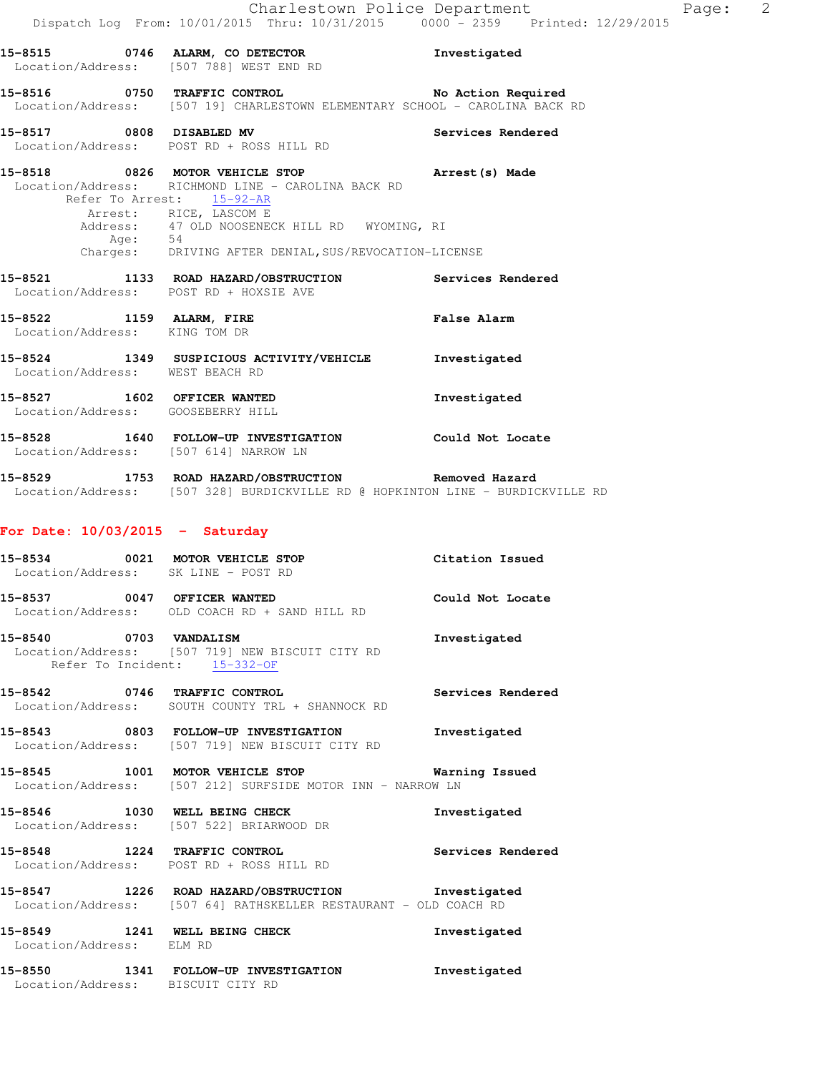|                                                           | 15-8515 0746 ALARM, CO DETECTOR<br>Location/Address: [507 788] WEST END RD                                                                                                                                                                                        | Investigated      |
|-----------------------------------------------------------|-------------------------------------------------------------------------------------------------------------------------------------------------------------------------------------------------------------------------------------------------------------------|-------------------|
|                                                           | 15-8516 0750 TRAFFIC CONTROL No Action Required<br>Location/Address: [507 19] CHARLESTOWN ELEMENTARY SCHOOL - CAROLINA BACK RD                                                                                                                                    |                   |
|                                                           | 15-8517 0808 DISABLED MV<br>Location/Address: POST RD + ROSS HILL RD                                                                                                                                                                                              | Services Rendered |
|                                                           | 15-8518 0826 MOTOR VEHICLE STOP<br>Location/Address: RICHMOND LINE - CAROLINA BACK RD<br>Refer To Arrest: 15-92-AR<br>Arrest: RICE, LASCOM E<br>Address: 47 OLD NOOSENECK HILL RD WYOMING, RI<br>Age: 54<br>Charges: DRIVING AFTER DENIAL, SUS/REVOCATION-LICENSE | Arrest(s) Made    |
|                                                           | 15-8521 1133 ROAD HAZARD/OBSTRUCTION<br>Location/Address: POST RD + HOXSIE AVE                                                                                                                                                                                    | Services Rendered |
| 15-8522 1159 ALARM, FIRE<br>Location/Address: KING TOM DR |                                                                                                                                                                                                                                                                   | False Alarm       |
| Location/Address: WEST BEACH RD                           | 15-8524 1349 SUSPICIOUS ACTIVITY/VEHICLE                                                                                                                                                                                                                          | Investigated      |
|                                                           | 15-8527 1602 OFFICER WANTED<br>Location/Address: GOOSEBERRY HILL                                                                                                                                                                                                  | Investigated      |
|                                                           | 15-8528 1640 FOLLOW-UP INVESTIGATION Could Not Locate<br>Location/Address: [507 614] NARROW LN                                                                                                                                                                    |                   |
|                                                           | 15-8529 1753 ROAD HAZARD/OBSTRUCTION Removed Hazard<br>Location/Address: [507 328] BURDICKVILLE RD @ HOPKINTON LINE - BURDICKVILLE RD                                                                                                                             |                   |
| For Date: $10/03/2015$ - Saturday                         |                                                                                                                                                                                                                                                                   |                   |

**15-8534 0021 MOTOR VEHICLE STOP Citation Issued**  Location/Address: SK LINE - POST RD **15-8537 0047 OFFICER WANTED Could Not Locate**  Location/Address: OLD COACH RD + SAND HILL RD **15-8540 0703 VANDALISM Investigated**  Location/Address: [507 719] NEW BISCUIT CITY RD Refer To Incident: 15-332-OF **15-8542 0746 TRAFFIC CONTROL Services Rendered**  Location/Address: SOUTH COUNTY TRL + SHANNOCK RD

**15-8543 0803 FOLLOW-UP INVESTIGATION Investigated**  Location/Address: [507 719] NEW BISCUIT CITY RD

**15-8545 1001 MOTOR VEHICLE STOP Warning Issued**  Location/Address: [507 212] SURFSIDE MOTOR INN - NARROW LN

**15-8546 1030 WELL BEING CHECK Investigated**  Location/Address: [507 522] BRIARWOOD DR

**15-8548 1224 TRAFFIC CONTROL Services Rendered**  Location/Address: POST RD + ROSS HILL RD

**15-8547 1226 ROAD HAZARD/OBSTRUCTION Investigated**  Location/Address: [507 64] RATHSKELLER RESTAURANT - OLD COACH RD

**15-8549 1241 WELL BEING CHECK Investigated**  Location/Address: ELM RD

**15-8550 1341 FOLLOW-UP INVESTIGATION Investigated**  Location/Address: BISCUIT CITY RD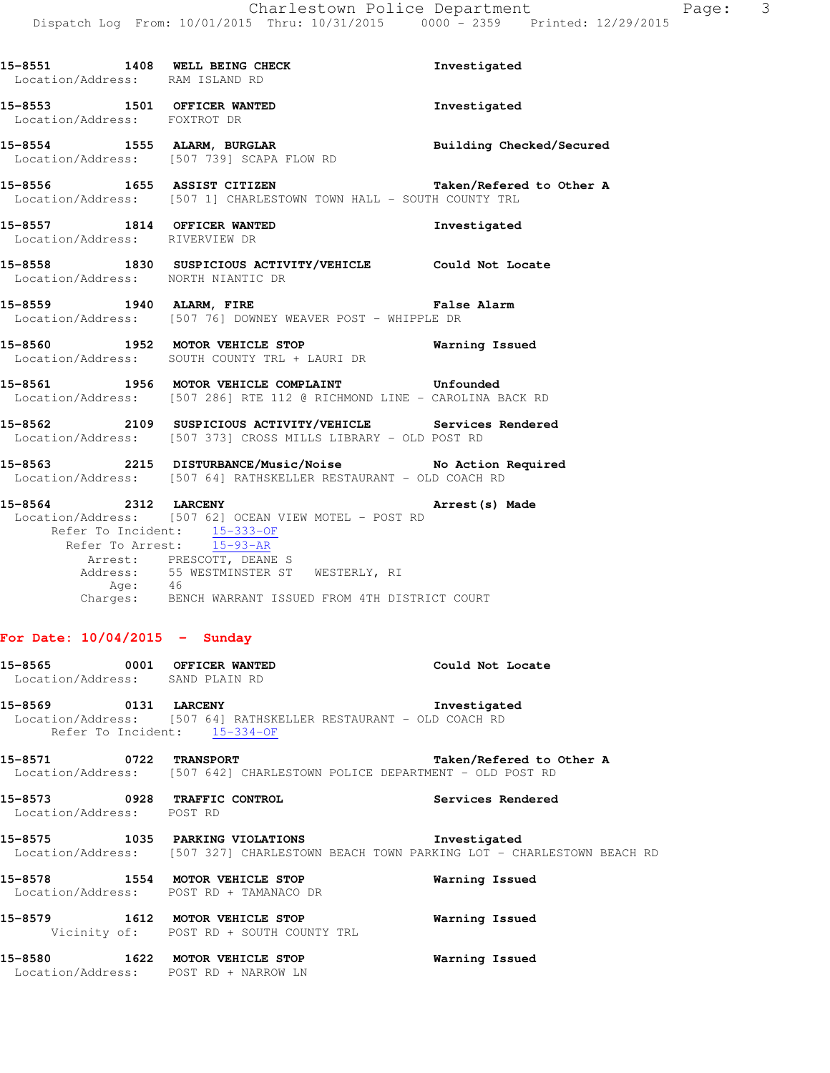| Location/Address: RAM ISLAND RD | 15-8551 1408 WELL BEING CHECK                                                                                                                                                              | Investigated                    |
|---------------------------------|--------------------------------------------------------------------------------------------------------------------------------------------------------------------------------------------|---------------------------------|
| Location/Address: FOXTROT DR    | 15-8553 1501 OFFICER WANTED                                                                                                                                                                | Investigated                    |
|                                 | 15-8554 1555 ALARM, BURGLAR<br>Location/Address: [507 739] SCAPA FLOW RD                                                                                                                   | <b>Building Checked/Secured</b> |
|                                 | 15-8556 1655 ASSIST CITIZEN Taken/Refered to Other A<br>Location/Address: [507 1] CHARLESTOWN TOWN HALL - SOUTH COUNTY TRL                                                                 |                                 |
| Location/Address: RIVERVIEW DR  | 15-8557 1814 OFFICER WANTED                                                                                                                                                                | Investigated                    |
|                                 | 15-8558 1830 SUSPICIOUS ACTIVITY/VEHICLE Could Not Locate<br>Location/Address: NORTH NIANTIC DR                                                                                            |                                 |
|                                 | 15-8559 1940 ALARM, FIRE <b>1940 ALARM</b> , FIRE<br>Location/Address: [507 76] DOWNEY WEAVER POST - WHIPPLE DR                                                                            |                                 |
|                                 | 15-8560 1952 MOTOR VEHICLE STOP 6 Warning Issued<br>Location/Address: SOUTH COUNTY TRL + LAURI DR                                                                                          |                                 |
|                                 | 15-8561 1956 MOTOR VEHICLE COMPLAINT Confounded<br>Location/Address: [507 286] RTE 112 @ RICHMOND LINE - CAROLINA BACK RD                                                                  |                                 |
|                                 | 15-8562 2109 SUSPICIOUS ACTIVITY/VEHICLE Services Rendered<br>Location/Address: [507 373] CROSS MILLS LIBRARY - OLD POST RD                                                                |                                 |
|                                 | 15-8563 2215 DISTURBANCE/Music/Noise No Action Required<br>Location/Address: [507 64] RATHSKELLER RESTAURANT - OLD COACH RD                                                                |                                 |
| 15-8564 2312 LARCENY            | Location/Address: [507 62] OCEAN VIEW MOTEL - POST RD<br>Refer To Incident: 15-333-OF<br>Refer To Arrest: 15-93-AR<br>Arrest: PRESCOTT, DEANE S<br>Address: 55 WESTMINSTER ST WESTERLY, RI | Arrest (s) Made                 |
|                                 | Age: 46<br>Charges: BENCH WARRANT ISSUED FROM 4TH DISTRICT COURT                                                                                                                           |                                 |

# **For Date: 10/04/2015 - Sunday**

| 15-8565 0001 OFFICER WANTED<br>Location/Address: SAND PLAIN RD |                                                                            | Could Not Locate                                                                                      |
|----------------------------------------------------------------|----------------------------------------------------------------------------|-------------------------------------------------------------------------------------------------------|
|                                                                | 15-8569 0131 LARCENY<br>Refer To Incident: 15-334-OF                       | Investigated<br>Location/Address: [507 64] RATHSKELLER RESTAURANT - OLD COACH RD                      |
|                                                                |                                                                            | Taken/Refered to Other A<br>Location/Address: [507 642] CHARLESTOWN POLICE DEPARTMENT - OLD POST RD   |
| Location/Address: POST RD                                      | 15-8573 0928 TRAFFIC CONTROL                                               | Services Rendered                                                                                     |
|                                                                | 15-8575 1035 PARKING VIOLATIONS                                            | Investigated<br>Location/Address: [507 327] CHARLESTOWN BEACH TOWN PARKING LOT - CHARLESTOWN BEACH RD |
|                                                                | 15-8578 1554 MOTOR VEHICLE STOP<br>Location/Address: POST RD + TAMANACO DR | Warning Issued                                                                                        |
|                                                                | 15-8579 1612 MOTOR VEHICLE STOP<br>Vicinity of: POST RD + SOUTH COUNTY TRL | Warning Issued                                                                                        |
|                                                                | 15-8580 1622 MOTOR VEHICLE STOP<br>Location/Address: POST RD + NARROW LN   | Warning Issued                                                                                        |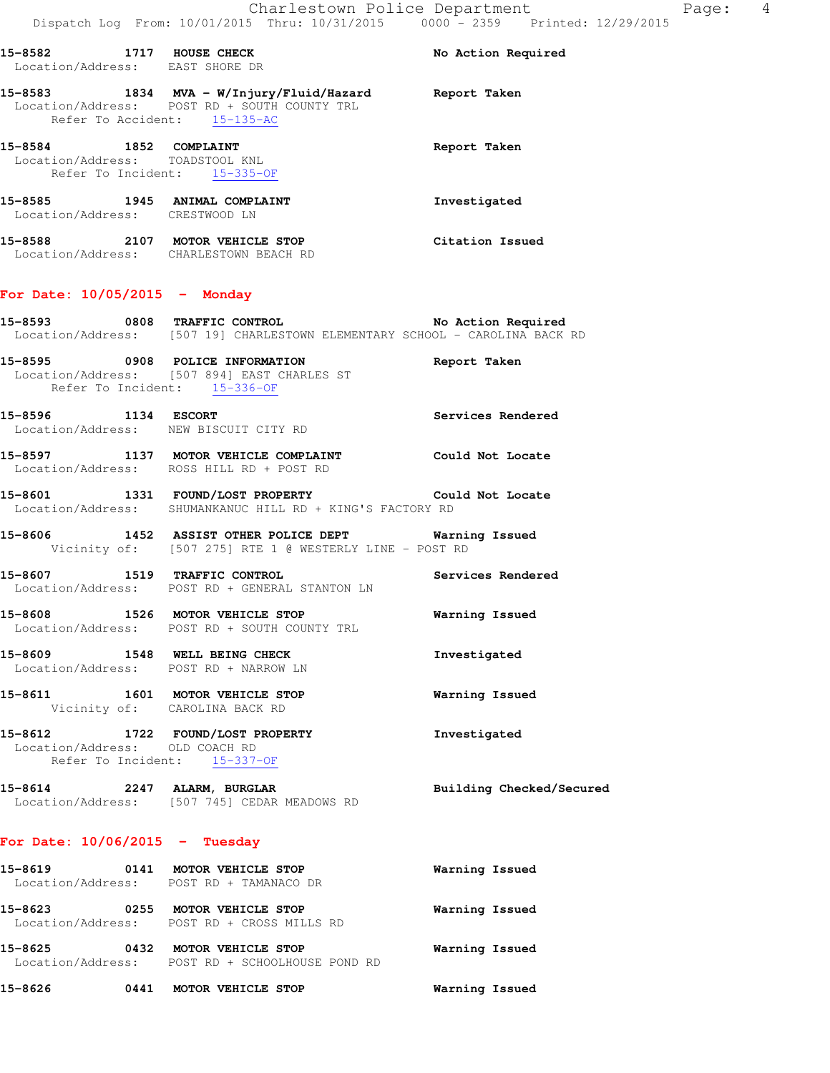| 15–8582                      | 1717 | HOUSE CHECK<br>Location/Address: EAST SHORE DR                                                                   | No Action Required |
|------------------------------|------|------------------------------------------------------------------------------------------------------------------|--------------------|
| 15-8583                      |      | 1834 MVA - W/Injury/Fluid/Hazard<br>Location/Address: POST RD + SOUTH COUNTY TRL<br>Refer To Accident: 15-135-AC | Report Taken       |
| 15-8584                      | 1852 | COMPLAINT<br>Location/Address: TOADSTOOL KNL<br>Refer To Incident: 15-335-OF                                     | Report Taken       |
| 15–8585<br>Location/Address: | 1945 | ANIMAL COMPLAINT<br>CRESTWOOD LN                                                                                 | Investigated       |
| 15-8588<br>Location/Address: | 2107 | MOTOR VEHICLE STOP<br>CHARLESTOWN BEACH RD                                                                       | Citation Issued    |

### **For Date: 10/05/2015 - Monday**

**15-8593 0808 TRAFFIC CONTROL No Action Required**  Location/Address: [507 19] CHARLESTOWN ELEMENTARY SCHOOL - CAROLINA BACK RD

- **15-8595 0908 POLICE INFORMATION Report Taken**  Location/Address: [507 894] EAST CHARLES ST Refer To Incident: 15-336-OF
- **15-8596 1134 ESCORT Services Rendered**  Location/Address: NEW BISCUIT CITY RD
- **15-8597 1137 MOTOR VEHICLE COMPLAINT Could Not Locate**  Location/Address: ROSS HILL RD + POST RD
- **15-8601 1331 FOUND/LOST PROPERTY Could Not Locate**  Location/Address: SHUMANKANUC HILL RD + KING'S FACTORY RD
- **15-8606 1452 ASSIST OTHER POLICE DEPT Warning Issued**  Vicinity of: [507 275] RTE 1 @ WESTERLY LINE - POST RD
- **15-8607 1519 TRAFFIC CONTROL Services Rendered**  Location/Address: POST RD + GENERAL STANTON LN
- **15-8608 1526 MOTOR VEHICLE STOP Warning Issued**  Location/Address: POST RD + SOUTH COUNTY TRL
- **15-8609 1548 WELL BEING CHECK Investigated**  Location/Address: POST RD + NARROW LN
- **15-8611 1601 MOTOR VEHICLE STOP Warning Issued**  Vicinity of: CAROLINA BACK RD
- **15-8612 1722 FOUND/LOST PROPERTY Investigated**  Location/Address: OLD COACH RD Refer To Incident: 15-337-OF
- **15-8614 2247 ALARM, BURGLAR Building Checked/Secured**  Location/Address: [507 745] CEDAR MEADOWS RD

### **For Date: 10/06/2015 - Tuesday**

| 15-8619<br>Location/Address: | 0141 | MOTOR VEHICLE STOP<br>POST RD + TAMANACO DR         | Warning Issued |  |
|------------------------------|------|-----------------------------------------------------|----------------|--|
| 15-8623<br>Location/Address: | 0255 | MOTOR VEHICLE STOP<br>POST RD + CROSS MILLS RD      | Warning Issued |  |
| 15-8625<br>Location/Address: | 0432 | MOTOR VEHICLE STOP<br>POST RD + SCHOOLHOUSE POND RD | Warning Issued |  |

**15-8626 0441 MOTOR VEHICLE STOP Warning Issued**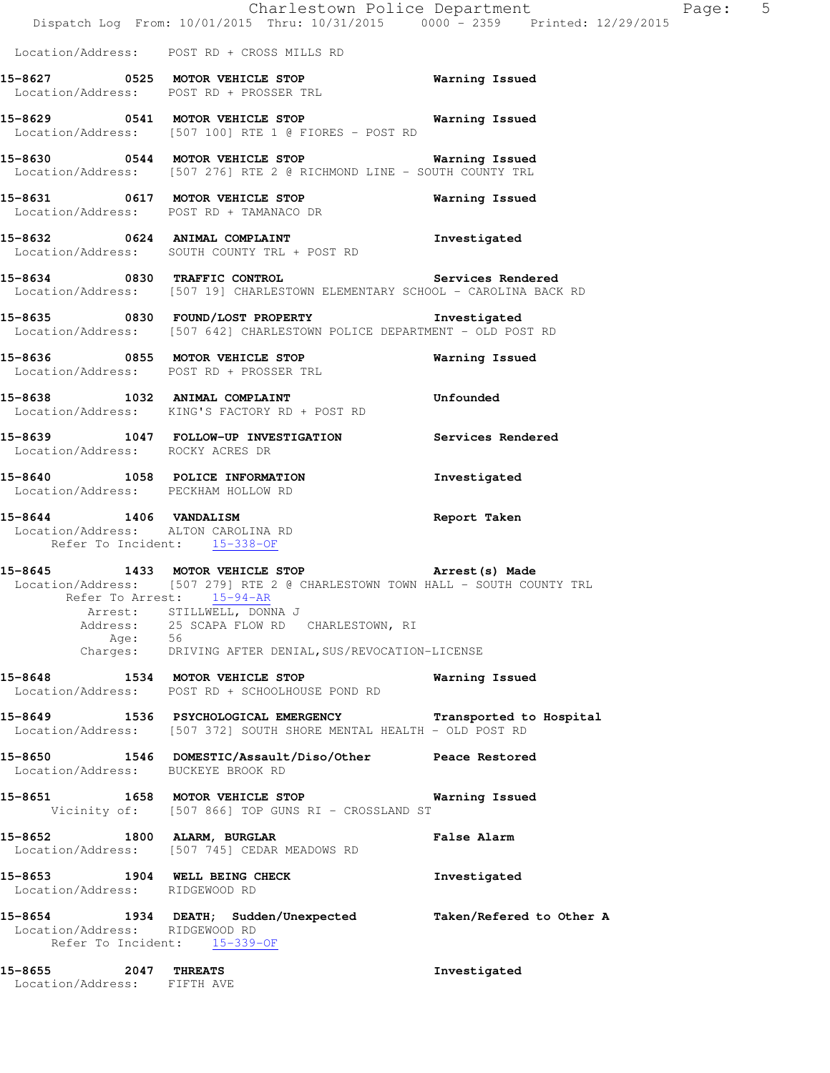|                                                     |         | Charlestown Police Department<br>Dispatch Log From: 10/01/2015 Thru: 10/31/2015 0000 - 2359 Printed: 12/29/2015                                                                                                                         |                    |
|-----------------------------------------------------|---------|-----------------------------------------------------------------------------------------------------------------------------------------------------------------------------------------------------------------------------------------|--------------------|
|                                                     |         | Location/Address: POST RD + CROSS MILLS RD                                                                                                                                                                                              |                    |
|                                                     |         | 15-8627 0525 MOTOR VEHICLE STOP 60 Warning Issued<br>Location/Address: POST RD + PROSSER TRL                                                                                                                                            |                    |
|                                                     |         | 15-8629 0541 MOTOR VEHICLE STOP 6 Warning Issued<br>Location/Address: [507 100] RTE 1 @ FIORES - POST RD                                                                                                                                |                    |
|                                                     |         | 15-8630 0544 MOTOR VEHICLE STOP <b>WATER WATER</b><br>Location/Address: [507 276] RTE 2 @ RICHMOND LINE - SOUTH COUNTY TRL                                                                                                              |                    |
|                                                     |         | 15-8631 0617 MOTOR VEHICLE STOP 6 Warning Issued<br>Location/Address: POST RD + TAMANACO DR                                                                                                                                             |                    |
|                                                     |         | 15-8632 0624 ANIMAL COMPLAINT IRE Threstigated<br>Location/Address: SOUTH COUNTY TRL + POST RD                                                                                                                                          |                    |
|                                                     |         | 15-8634 0830 TRAFFIC CONTROL Services Rendered<br>Location/Address: [507 19] CHARLESTOWN ELEMENTARY SCHOOL - CAROLINA BACK RD                                                                                                           |                    |
|                                                     |         | 15-8635 0830 FOUND/LOST PROPERTY Investigated<br>Location/Address: [507 642] CHARLESTOWN POLICE DEPARTMENT - OLD POST RD                                                                                                                |                    |
|                                                     |         | 15-8636 0855 MOTOR VEHICLE STOP<br>Location/Address: POST RD + PROSSER TRL                                                                                                                                                              | Warning Issued     |
|                                                     |         | 15-8638 1032 ANIMAL COMPLAINT<br>Location/Address: KING'S FACTORY RD + POST RD                                                                                                                                                          | Unfounded          |
| Location/Address: ROCKY ACRES DR                    |         | 15-8639 1047 FOLLOW-UP INVESTIGATION Services Rendered                                                                                                                                                                                  |                    |
|                                                     |         | 15-8640 1058 POLICE INFORMATION 15-8640 Investigated<br>Location/Address: PECKHAM HOLLOW RD                                                                                                                                             |                    |
|                                                     |         | 15-8644 1406 VANDALISM<br>Location/Address: ALTON CAROLINA RD<br>Refer To Incident: 15-338-OF                                                                                                                                           | Report Taken       |
| Address:                                            | Age: 56 | 15-8645 1433 MOTOR VEHICLE STOP Arrest (s) Made<br>Location/Address: [507 279] RTE 2 @ CHARLESTOWN TOWN HALL - SOUTH COUNTY TRL<br>Refer To Arrest: 15-94-AR<br>Arrest: STILLWELL, DONNA J<br>Address: 25 SCAPA FLOW RD CHARLESTOWN, RI |                    |
|                                                     |         | Charges: DRIVING AFTER DENIAL, SUS/REVOCATION-LICENSE<br>15-8648 1534 MOTOR VEHICLE STOP                                                                                                                                                | Warning Issued     |
|                                                     |         | Location/Address: POST RD + SCHOOLHOUSE POND RD<br>15-8649 1536 PSYCHOLOGICAL EMERGENCY Transported to Hospital<br>Location/Address: [507 372] SOUTH SHORE MENTAL HEALTH - OLD POST RD                                                  |                    |
|                                                     |         | 15-8650 1546 DOMESTIC/Assault/Diso/Other Peace Restored<br>Location/Address: BUCKEYE BROOK RD                                                                                                                                           |                    |
|                                                     |         | 15-8651 1658 MOTOR VEHICLE STOP<br>Vicinity of: [507 866] TOP GUNS RI - CROSSLAND ST                                                                                                                                                    | Warning Issued     |
|                                                     |         | 15-8652 1800 ALARM, BURGLAR<br>Location/Address: [507 745] CEDAR MEADOWS RD                                                                                                                                                             | <b>False Alarm</b> |
| Location/Address: RIDGEWOOD RD                      |         | 15-8653 1904 WELL BEING CHECK                                                                                                                                                                                                           | Investigated       |
| Location/Address: RIDGEWOOD RD                      |         | 15-8654 1934 DEATH; Sudden/Unexpected Taken/Refered to Other A<br>Refer To Incident: 15-339-OF                                                                                                                                          |                    |
| 15-8655 2047 THREATS<br>Location/Address: FIFTH AVE |         |                                                                                                                                                                                                                                         | Investigated       |

Page:  $5$ <br>2015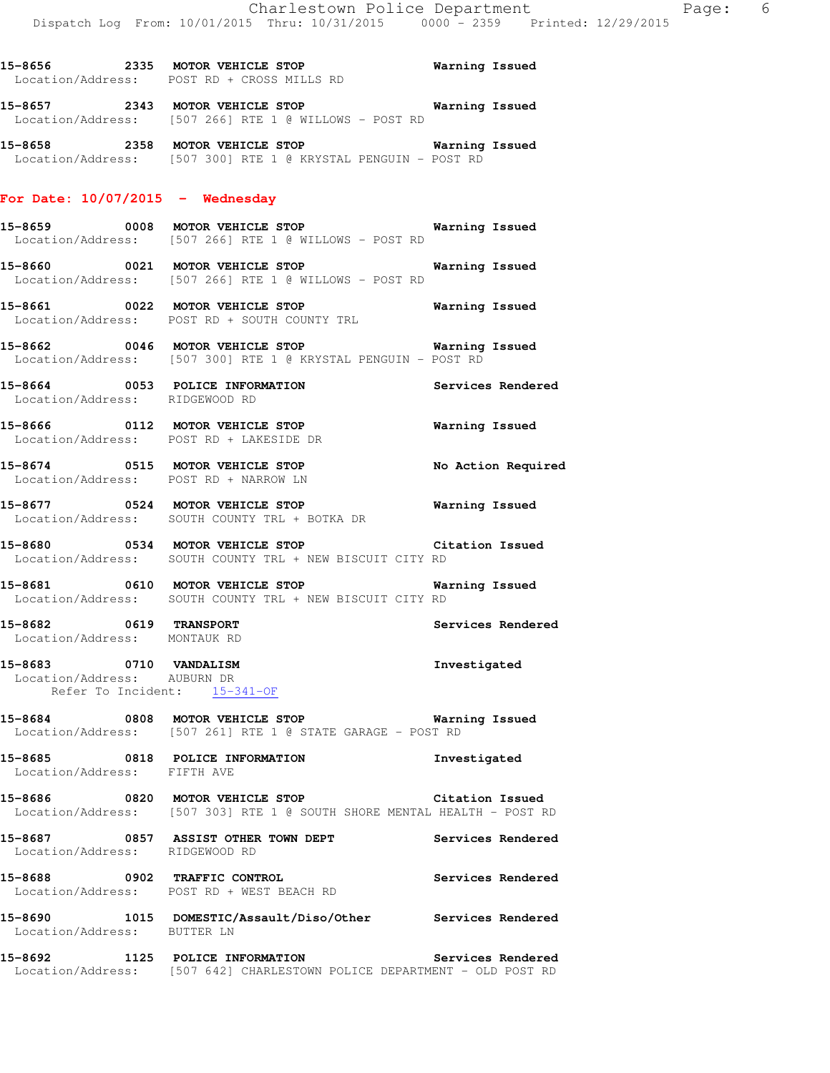**15-8656 2335 MOTOR VEHICLE STOP Warning Issued**  Location/Address: POST RD + CROSS MILLS RD

**15-8657 2343 MOTOR VEHICLE STOP Warning Issued**  Location/Address: [507 266] RTE 1 @ WILLOWS - POST RD

**15-8658 2358 MOTOR VEHICLE STOP Warning Issued**  Location/Address: [507 300] RTE 1 @ KRYSTAL PENGUIN - POST RD

### **For Date: 10/07/2015 - Wednesday**

- **15-8659 0008 MOTOR VEHICLE STOP Warning Issued**  Location/Address: [507 266] RTE 1 @ WILLOWS - POST RD
- **15-8660 0021 MOTOR VEHICLE STOP Warning Issued**  Location/Address: [507 266] RTE 1 @ WILLOWS - POST RD
- **15-8661 0022 MOTOR VEHICLE STOP Warning Issued**  Location/Address: POST RD + SOUTH COUNTY TRL
- **15-8662 0046 MOTOR VEHICLE STOP Warning Issued**  Location/Address: [507 300] RTE 1 @ KRYSTAL PENGUIN - POST RD
- **15-8664 0053 POLICE INFORMATION Services Rendered**  Location/Address: RIDGEWOOD RD
- **15-8666 0112 MOTOR VEHICLE STOP Warning Issued**  Location/Address: POST RD + LAKESIDE DR
- **15-8674 0515 MOTOR VEHICLE STOP No Action Required**  Location/Address: POST RD + NARROW LN
- **15-8677 0524 MOTOR VEHICLE STOP Warning Issued**  Location/Address: SOUTH COUNTY TRL + BOTKA DR
- **15-8680 0534 MOTOR VEHICLE STOP Citation Issued**  Location/Address: SOUTH COUNTY TRL + NEW BISCUIT CITY RD
- **15-8681 0610 MOTOR VEHICLE STOP Warning Issued**  Location/Address: SOUTH COUNTY TRL + NEW BISCUIT CITY RD
- **15-8682 0619 TRANSPORT Services Rendered**  Location/Address: MONTAUK RD
- **15-8683 0710 VANDALISM Investigated**  Location/Address: AUBURN DR Refer To Incident:  $15-341-OF$
- **15-8684 0808 MOTOR VEHICLE STOP Warning Issued**  Location/Address: [507 261] RTE 1 @ STATE GARAGE - POST RD
- **15-8685 0818 POLICE INFORMATION Investigated**  Location/Address: FIFTH AVE
- **15-8686 0820 MOTOR VEHICLE STOP Citation Issued**  Location/Address: [507 303] RTE 1 @ SOUTH SHORE MENTAL HEALTH - POST RD
- **15-8687 0857 ASSIST OTHER TOWN DEPT Services Rendered**  Location/Address: RIDGEWOOD RD
- **15-8688 0902 TRAFFIC CONTROL Services Rendered**  Location/Address: POST RD + WEST BEACH RD
- **15-8690 1015 DOMESTIC/Assault/Diso/Other Services Rendered**  Location/Address: BUTTER LN
- **15-8692 1125 POLICE INFORMATION Services Rendered**  Location/Address: [507 642] CHARLESTOWN POLICE DEPARTMENT - OLD POST RD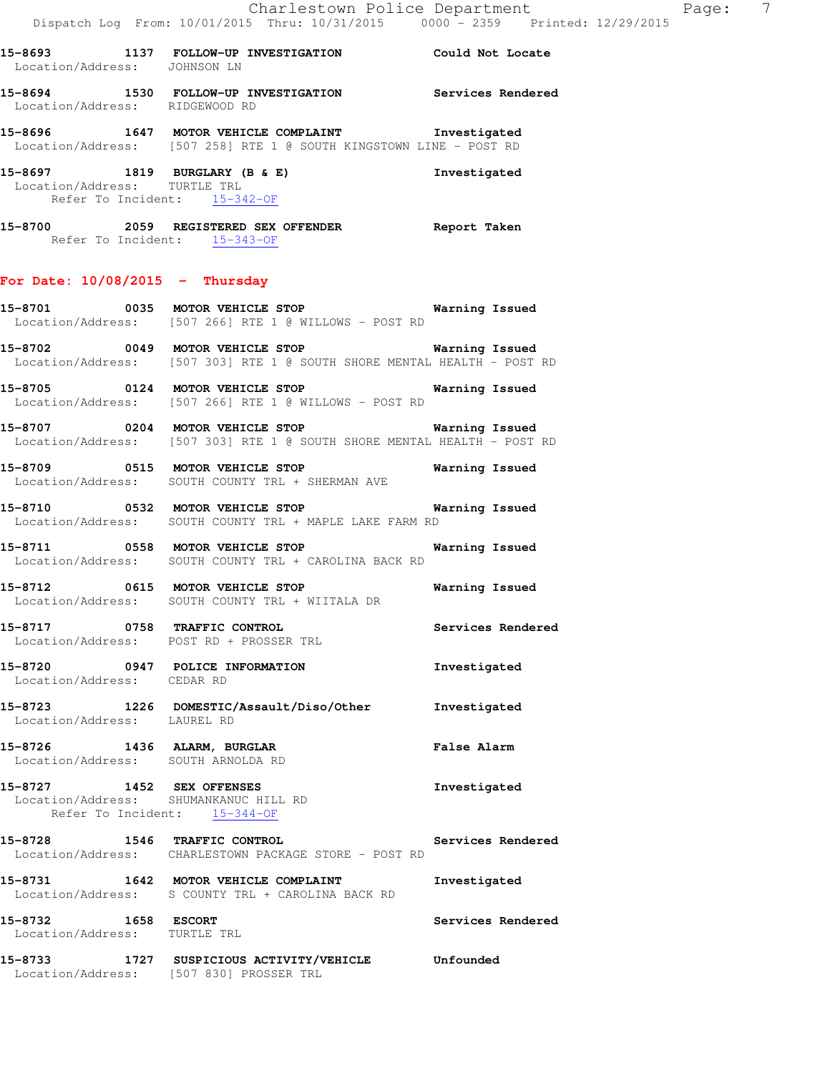**15-8694 1530 FOLLOW-UP INVESTIGATION Services Rendered**  Location/Address: RIDGEWOOD RD

**15-8696 1647 MOTOR VEHICLE COMPLAINT Investigated**  Location/Address: [507 258] RTE 1 @ SOUTH KINGSTOWN LINE - POST RD

**15-8697 1819 BURGLARY (B & E) Investigated**  Location/Address: TURTLE TRL Refer To Incident: 15-342-OF

**15-8700 2059 REGISTERED SEX OFFENDER Report Taken**  Refer To Incident: 15-343-OF

### **For Date: 10/08/2015 - Thursday**

**15-8701 0035 MOTOR VEHICLE STOP Warning Issued**  Location/Address: [507 266] RTE 1 @ WILLOWS - POST RD

**15-8702 0049 MOTOR VEHICLE STOP Warning Issued**  Location/Address: [507 303] RTE 1 @ SOUTH SHORE MENTAL HEALTH - POST RD

**15-8705 0124 MOTOR VEHICLE STOP Warning Issued**  Location/Address: [507 266] RTE 1 @ WILLOWS - POST RD

**15-8707 0204 MOTOR VEHICLE STOP Warning Issued**  Location/Address: [507 303] RTE 1 @ SOUTH SHORE MENTAL HEALTH - POST RD

**15-8709 0515 MOTOR VEHICLE STOP Warning Issued**  Location/Address: SOUTH COUNTY TRL + SHERMAN AVE

**15-8710 0532 MOTOR VEHICLE STOP Warning Issued**  Location/Address: SOUTH COUNTY TRL + MAPLE LAKE FARM RD

**15-8711 0558 MOTOR VEHICLE STOP Warning Issued**  Location/Address: SOUTH COUNTY TRL + CAROLINA BACK RD

**15-8712 0615 MOTOR VEHICLE STOP Warning Issued**  Location/Address: SOUTH COUNTY TRL + WIITALA DR

**15-8717 0758 TRAFFIC CONTROL Services Rendered**  Location/Address: POST RD + PROSSER TRL

**15-8720 0947 POLICE INFORMATION Investigated**  Location/Address: CEDAR RD

**15-8723 1226 DOMESTIC/Assault/Diso/Other Investigated**  Location/Address: LAUREL RD

**15-8726 1436 ALARM, BURGLAR False Alarm**  Location/Address: SOUTH ARNOLDA RD

**15-8727 1452 SEX OFFENSES Investigated**  Location/Address: SHUMANKANUC HILL RD Refer To Incident: 15-344-OF

**15-8728 1546 TRAFFIC CONTROL Services Rendered**  Location/Address: CHARLESTOWN PACKAGE STORE - POST RD

**15-8731 1642 MOTOR VEHICLE COMPLAINT Investigated**  Location/Address: S COUNTY TRL + CAROLINA BACK RD **15-8732 1658 ESCORT Services Rendered**  Location/Address: TURTLE TRL

**15-8733 1727 SUSPICIOUS ACTIVITY/VEHICLE Unfounded**  Location/Address: [507 830] PROSSER TRL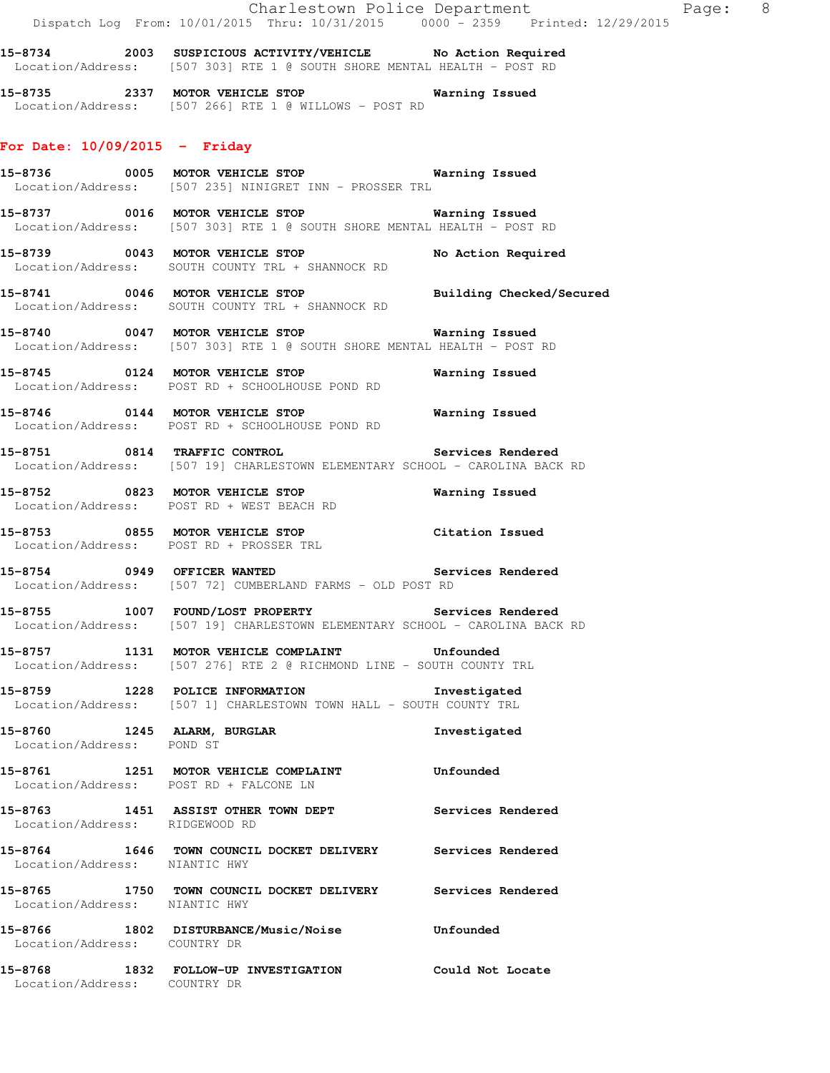**15-8734 2003 SUSPICIOUS ACTIVITY/VEHICLE No Action Required**  Location/Address: [507 303] RTE 1 @ SOUTH SHORE MENTAL HEALTH - POST RD

**15-8735 2337 MOTOR VEHICLE STOP Warning Issued**  Location/Address: [507 266] RTE 1 @ WILLOWS - POST RD

### **For Date: 10/09/2015 - Friday**

**15-8736 0005 MOTOR VEHICLE STOP Warning Issued**  Location/Address: [507 235] NINIGRET INN - PROSSER TRL

**15-8737 0016 MOTOR VEHICLE STOP Warning Issued**  Location/Address: [507 303] RTE 1 @ SOUTH SHORE MENTAL HEALTH - POST RD

**15-8739 0043 MOTOR VEHICLE STOP No Action Required**  Location/Address: SOUTH COUNTY TRL + SHANNOCK RD

**15-8741 0046 MOTOR VEHICLE STOP Building Checked/Secured**  Location/Address: SOUTH COUNTY TRL + SHANNOCK RD

**15-8740 0047 MOTOR VEHICLE STOP Warning Issued**  Location/Address: [507 303] RTE 1 @ SOUTH SHORE MENTAL HEALTH - POST RD

**15-8745 0124 MOTOR VEHICLE STOP Warning Issued**  Location/Address: POST RD + SCHOOLHOUSE POND RD

**15-8746 0144 MOTOR VEHICLE STOP Warning Issued**  Location/Address: POST RD + SCHOOLHOUSE POND RD

**15-8751 0814 TRAFFIC CONTROL Services Rendered**  Location/Address: [507 19] CHARLESTOWN ELEMENTARY SCHOOL - CAROLINA BACK RD

**15-8752 0823 MOTOR VEHICLE STOP Warning Issued**  Location/Address: POST RD + WEST BEACH RD

**15-8753 0855 MOTOR VEHICLE STOP Citation Issued**  Location/Address: POST RD + PROSSER TRL

**15-8754 0949 OFFICER WANTED Services Rendered**  Location/Address: [507 72] CUMBERLAND FARMS - OLD POST RD

**15-8755 1007 FOUND/LOST PROPERTY Services Rendered**  Location/Address: [507 19] CHARLESTOWN ELEMENTARY SCHOOL - CAROLINA BACK RD

**15-8757 1131 MOTOR VEHICLE COMPLAINT Unfounded**  Location/Address: [507 276] RTE 2 @ RICHMOND LINE - SOUTH COUNTY TRL

**15-8759 1228 POLICE INFORMATION Investigated**  Location/Address: [507 1] CHARLESTOWN TOWN HALL - SOUTH COUNTY TRL

**15-8760 1245 ALARM, BURGLAR Investigated**  Location/Address: POND ST

**15-8761 1251 MOTOR VEHICLE COMPLAINT Unfounded**  Location/Address: POST RD + FALCONE LN

**15-8763 1451 ASSIST OTHER TOWN DEPT Services Rendered**  Location/Address: RIDGEWOOD RD

**15-8764 1646 TOWN COUNCIL DOCKET DELIVERY Services Rendered**  Location/Address: NIANTIC HWY

**15-8765 1750 TOWN COUNCIL DOCKET DELIVERY Services Rendered**  Location/Address: NIANTIC HWY

**15-8766 1802 DISTURBANCE/Music/Noise Unfounded**  Location/Address: COUNTRY DR

**15-8768 1832 FOLLOW-UP INVESTIGATION Could Not Locate**  Location/Address: COUNTRY DR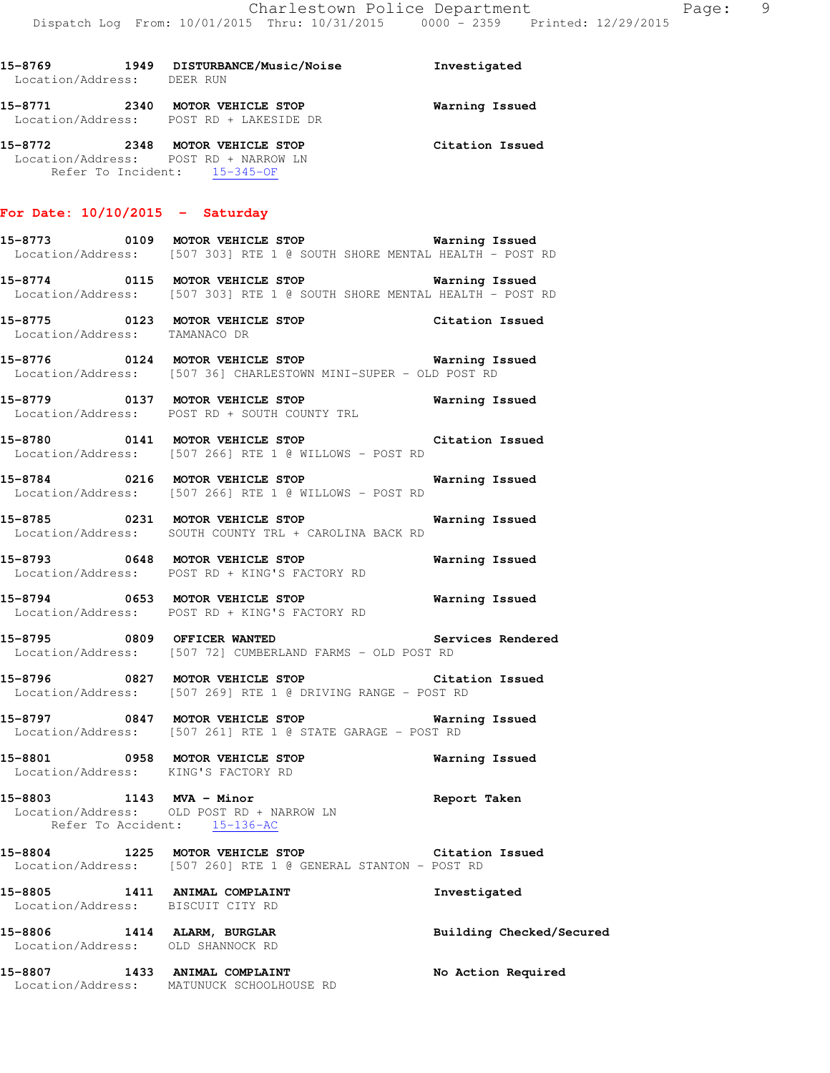| Location/Address: DEER RUN |      |                                                                    |                 |
|----------------------------|------|--------------------------------------------------------------------|-----------------|
| 15-8771                    | 2340 | MOTOR VEHICLE STOP<br>Location/Address: POST RD + LAKESIDE DR      | Warning Issued  |
| 15-8772                    | 2348 | <b>MOTOR VEHICLE STOP</b><br>Location/Address: POST RD + NARROW LN | Citation Issued |

### **For Date: 10/10/2015 - Saturday**

Refer To Incident: 15-345-OF

- **15-8773 0109 MOTOR VEHICLE STOP Warning Issued**  Location/Address: [507 303] RTE 1 @ SOUTH SHORE MENTAL HEALTH - POST RD
- **15-8774 0115 MOTOR VEHICLE STOP Warning Issued**  Location/Address: [507 303] RTE 1 @ SOUTH SHORE MENTAL HEALTH - POST RD
- **15-8775 0123 MOTOR VEHICLE STOP Citation Issued**  Location/Address: TAMANACO DR
- **15-8776 0124 MOTOR VEHICLE STOP Warning Issued**  Location/Address: [507 36] CHARLESTOWN MINI-SUPER - OLD POST RD
- **15-8779 0137 MOTOR VEHICLE STOP Warning Issued**  Location/Address: POST RD + SOUTH COUNTY TRL
- **15-8780 0141 MOTOR VEHICLE STOP Citation Issued**  Location/Address: [507 266] RTE 1 @ WILLOWS - POST RD
- **15-8784 0216 MOTOR VEHICLE STOP Warning Issued**  Location/Address: [507 266] RTE 1 @ WILLOWS - POST RD
- **15-8785 0231 MOTOR VEHICLE STOP Warning Issued**  Location/Address: SOUTH COUNTY TRL + CAROLINA BACK RD
- **15-8793 0648 MOTOR VEHICLE STOP Warning Issued**  Location/Address: POST RD + KING'S FACTORY RD
- **15-8794 0653 MOTOR VEHICLE STOP Warning Issued**  Location/Address: POST RD + KING'S FACTORY RD
- **15-8795 0809 OFFICER WANTED Services Rendered**  Location/Address: [507 72] CUMBERLAND FARMS - OLD POST RD
- **15-8796 0827 MOTOR VEHICLE STOP Citation Issued**  Location/Address: [507 269] RTE 1 @ DRIVING RANGE - POST RD
- **15-8797 0847 MOTOR VEHICLE STOP Warning Issued**  Location/Address: [507 261] RTE 1 @ STATE GARAGE - POST RD
- **15-8801 0958 MOTOR VEHICLE STOP Warning Issued**  Location/Address: KING'S FACTORY RD
- **15-8803 1143 MVA Minor Report Taken**  Location/Address: OLD POST RD + NARROW LN Refer To Accident: 15-136-AC
- **15-8804 1225 MOTOR VEHICLE STOP Citation Issued**  Location/Address: [507 260] RTE 1 @ GENERAL STANTON - POST RD
- **15-8805 1411 ANIMAL COMPLAINT Investigated**  Location/Address: BISCUIT CITY RD **15-8806 1414 ALARM, BURGLAR Building Checked/Secured**  Location/Address: OLD SHANNOCK RD
- **15-8807 1433 ANIMAL COMPLAINT No Action Required**  Location/Address: MATUNUCK SCHOOLHOUSE RD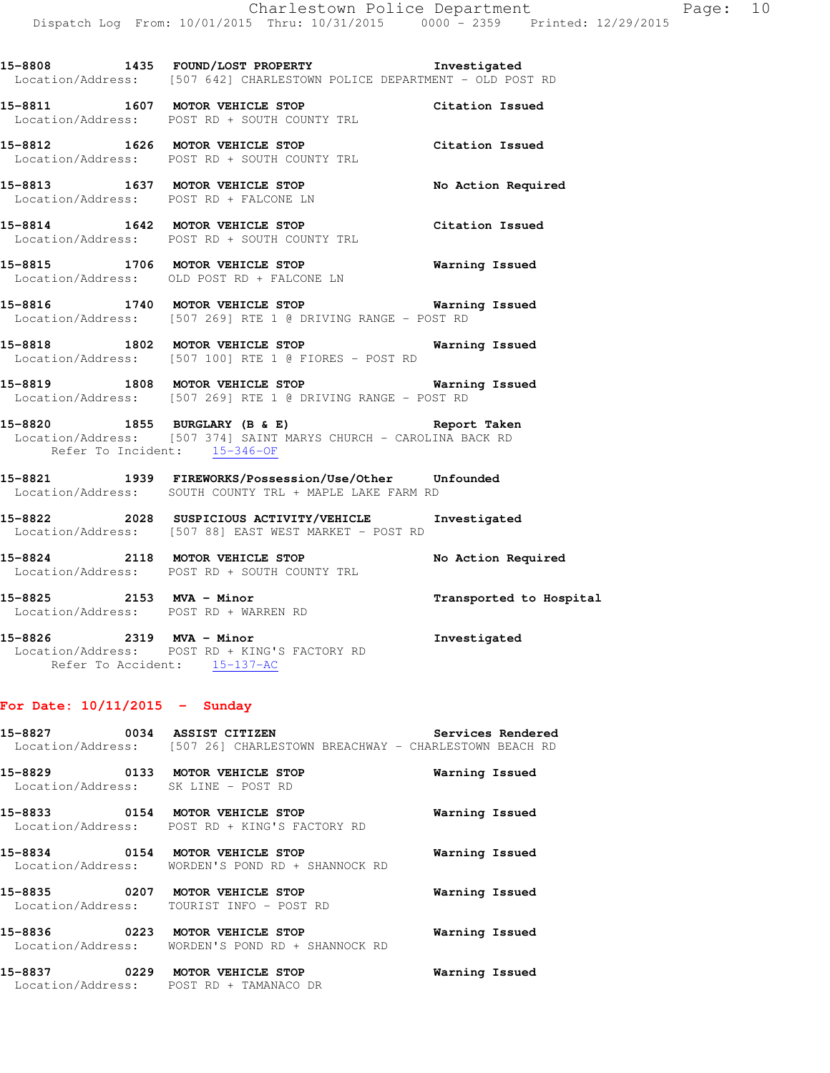**15-8808 1435 FOUND/LOST PROPERTY Investigated**  Location/Address: [507 642] CHARLESTOWN POLICE DEPARTMENT - OLD POST RD

**15-8811 1607 MOTOR VEHICLE STOP Citation Issued**  Location/Address: POST RD + SOUTH COUNTY TRL

**15-8812 1626 MOTOR VEHICLE STOP Citation Issued**  Location/Address: POST RD + SOUTH COUNTY TRL

**15-8813 1637 MOTOR VEHICLE STOP No Action Required**  Location/Address: POST RD + FALCONE LN

**15-8814 1642 MOTOR VEHICLE STOP Citation Issued**  Location/Address: POST RD + SOUTH COUNTY TRL

**15-8815 1706 MOTOR VEHICLE STOP Warning Issued**  Location/Address: OLD POST RD + FALCONE LN

**15-8816 1740 MOTOR VEHICLE STOP Warning Issued**  Location/Address: [507 269] RTE 1 @ DRIVING RANGE - POST RD

**15-8818 1802 MOTOR VEHICLE STOP Warning Issued**  Location/Address: [507 100] RTE 1 @ FIORES - POST RD

**15-8819 1808 MOTOR VEHICLE STOP Warning Issued**  Location/Address: [507 269] RTE 1 @ DRIVING RANGE - POST RD

**15-8820 1855 BURGLARY (B & E) Report Taken**  Location/Address: [507 374] SAINT MARYS CHURCH - CAROLINA BACK RD Refer To Incident: 15-346-OF

**15-8821 1939 FIREWORKS/Possession/Use/Other Unfounded**  Location/Address: SOUTH COUNTY TRL + MAPLE LAKE FARM RD

**15-8822 2028 SUSPICIOUS ACTIVITY/VEHICLE Investigated**  Location/Address: [507 88] EAST WEST MARKET - POST RD

**15-8824 2118 MOTOR VEHICLE STOP No Action Required**  Location/Address: POST RD + SOUTH COUNTY TRL

**15-8825 2153 MVA - Minor Transported to Hospital**  Location/Address: POST RD + WARREN RD

**15-8826 2319 MVA - Minor Investigated**  Location/Address: POST RD + KING'S FACTORY RD Refer To Accident: 15-137-AC

### **For Date: 10/11/2015 - Sunday**

**15-8827 0034 ASSIST CITIZEN Services Rendered**  Location/Address: [507 26] CHARLESTOWN BREACHWAY - CHARLESTOWN BEACH RD

**15-8829 0133 MOTOR VEHICLE STOP Warning Issued**  Location/Address: SK LINE - POST RD **15-8833 0154 MOTOR VEHICLE STOP Warning Issued**  Location/Address: POST RD + KING'S FACTORY RD **15-8834 0154 MOTOR VEHICLE STOP Warning Issued**  Location/Address: WORDEN'S POND RD + SHANNOCK RD **15-8835 0207 MOTOR VEHICLE STOP Warning Issued**  Location/Address: TOURIST INFO - POST RD **15-8836 0223 MOTOR VEHICLE STOP Warning Issued**  Location/Address: WORDEN'S POND RD + SHANNOCK RD

**15-8837 0229 MOTOR VEHICLE STOP Warning Issued**  Location/Address: POST RD + TAMANACO DR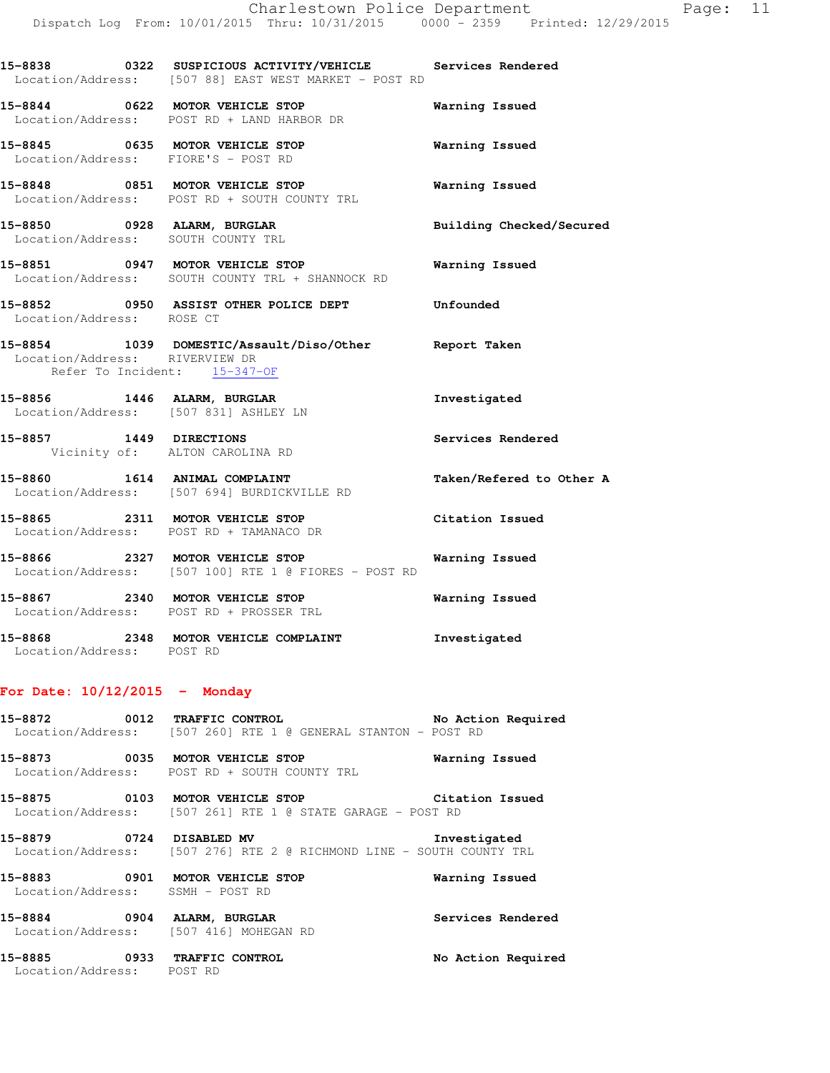| ment |  |  |  |   | Page: |  |
|------|--|--|--|---|-------|--|
| . .  |  |  |  | . |       |  |

| Location/Address: POST RD      | 15-8868 2348 MOTOR VEHICLE COMPLAINT Threstigated                                                                         |                          |
|--------------------------------|---------------------------------------------------------------------------------------------------------------------------|--------------------------|
|                                | Location/Address: POST RD + PROSSER TRL                                                                                   |                          |
|                                | 15-8866 2327 MOTOR VEHICLE STOP <b>Marning Issued</b><br>Location/Address: [507 100] RTE 1 @ FIORES - POST RD             |                          |
|                                | 15-8865<br>15-8865<br>Location/Address: POST RD + TAMANACO DR<br>Citation Issued                                          |                          |
|                                | 15-8860 1614 ANIMAL COMPLAINT<br>Location/Address: [507 694] BURDICKVILLE RD                                              | Taken/Refered to Other A |
|                                | 15-8857 1449 DIRECTIONS<br>Vicinity of: ALTON CAROLINA RD                                                                 | Services Rendered        |
|                                | 15-8856 1446 ALARM, BURGLAR<br>Location/Address: [507 831] ASHLEY LN                                                      | Investigated             |
| Location/Address: RIVERVIEW DR | 15-8854 1039 DOMESTIC/Assault/Diso/Other Report Taken<br>Refer To Incident: 15-347-OF                                     |                          |
| Location/Address: ROSE CT      | 15-8852 0950 ASSIST OTHER POLICE DEPT Unfounded                                                                           |                          |
|                                | 15-8851 0947 MOTOR VEHICLE STOP <b>Warning Issued</b><br>Location/Address: SOUTH COUNTY TRL + SHANNOCK RD                 |                          |
|                                | 15-8850       0928 ALARM, BURGLAR             Building Checked/Secured<br>Location/Address: SOUTH COUNTY TRL              |                          |
|                                | 15-8848 0851 MOTOR VEHICLE STOP<br>Location/Address: POST RD + SOUTH COUNTY TRL                                           | <b>Warning Issued</b>    |
|                                | 15-8845 0635 MOTOR VEHICLE STOP<br>Location/Address: FIORE'S - POST RD                                                    | Warning Issued           |
|                                | 15-8844 0622 MOTOR VEHICLE STOP<br>Location/Address: POST RD + LAND HARBOR DR                                             | Warning Issued           |
|                                | 15-8838 		 0322 SUSPICIOUS ACTIVITY/VEHICLE 		 Services Rendered<br>Location/Address: [507 88] EAST WEST MARKET - POST RD |                          |
|                                |                                                                                                                           |                          |

### **For Date: 10/12/2015 - Monday**

**15-8872 0012 TRAFFIC CONTROL No Action Required**  Location/Address: [507 260] RTE 1 @ GENERAL STANTON - POST RD

**15-8873 0035 MOTOR VEHICLE STOP Warning Issued**  Location/Address: POST RD + SOUTH COUNTY TRL

**15-8875 0103 MOTOR VEHICLE STOP Citation Issued**  Location/Address: [507 261] RTE 1 @ STATE GARAGE - POST RD

**15-8879 0724 DISABLED MV Investigated**  Location/Address: [507 276] RTE 2 @ RICHMOND LINE - SOUTH COUNTY TRL

**15-8883 0901 MOTOR VEHICLE STOP Warning Issued**  Location/Address: SSMH - POST RD

**15-8884 0904 ALARM, BURGLAR Services Rendered**  Location/Address: [507 416] MOHEGAN RD

**15-8885 0933 TRAFFIC CONTROL No Action Required**  Location/Address: POST RD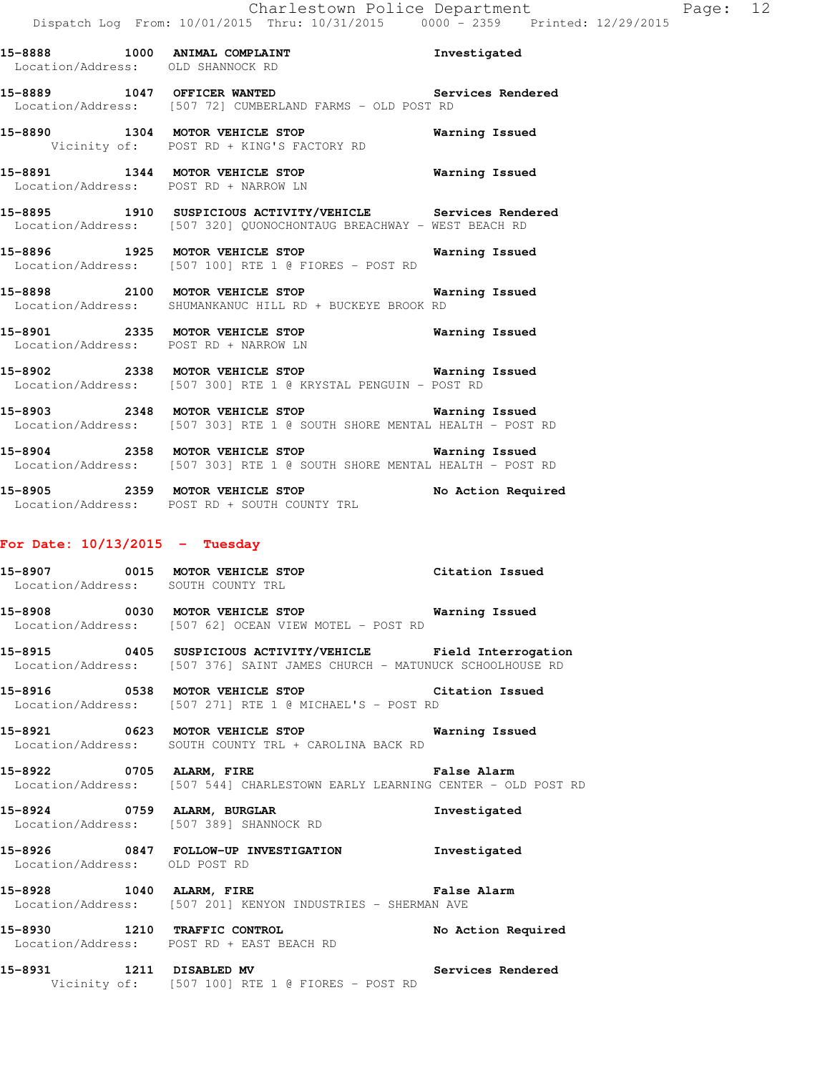|                             | 15-8888 1000 ANIMAL COMPLAINT<br>Location/Address: OLD SHANNOCK RD                                                                | Investigated       |
|-----------------------------|-----------------------------------------------------------------------------------------------------------------------------------|--------------------|
| 15-8889 1047 OFFICER WANTED | Services Rendered<br>Location/Address: [507 72] CUMBERLAND FARMS - OLD POST RD                                                    |                    |
|                             | 15-8890 1304 MOTOR VEHICLE STOP<br>Vicinity of: POST RD + KING'S FACTORY RD                                                       | Warning Issued     |
|                             | 15-8891 1344 MOTOR VEHICLE STOP<br>Location/Address: POST RD + NARROW LN                                                          | Warning Issued     |
|                             | 15-8895 1910 SUSPICIOUS ACTIVITY/VEHICLE Services Rendered<br>Location/Address: [507 320] OUONOCHONTAUG BREACHWAY - WEST BEACH RD |                    |
|                             | 15-8896 1925 MOTOR VEHICLE STOP<br>Location/Address: [507 100] RTE 1 @ FIORES - POST RD                                           | Warning Issued     |
|                             | 15-8898 2100 MOTOR VEHICLE STOP<br>Location/Address: SHUMANKANUC HILL RD + BUCKEYE BROOK RD                                       | Warning Issued     |
|                             | 15-8901 2335 MOTOR VEHICLE STOP<br>Location/Address: POST RD + NARROW LN                                                          | Warning Issued     |
|                             | 15-8902 2338 MOTOR VEHICLE STOP 6 Warning Issued<br>Location/Address: [507 300] RTE 1 @ KRYSTAL PENGUIN - POST RD                 |                    |
|                             | 15-8903 2348 MOTOR VEHICLE STOP 6 Warning Issued<br>Location/Address: [507 303] RTE 1 @ SOUTH SHORE MENTAL HEALTH - POST RD       |                    |
|                             | 15-8904 2358 MOTOR VEHICLE STOP 6 Warning Issued<br>Location/Address: [507 303] RTE 1 @ SOUTH SHORE MENTAL HEALTH - POST RD       |                    |
|                             | 15-8905 2359 MOTOR VEHICLE STOP<br>Location/Address: POST RD + SOUTH COUNTY TRL                                                   | No Action Required |
|                             |                                                                                                                                   |                    |

### **For Date: 10/13/2015 - Tuesday**

| 15-8907           | 0015 | MOTOR VEHICLE STOP | Citation Issued |
|-------------------|------|--------------------|-----------------|
| Location/Address: |      | SOUTH COUNTY TRL   |                 |

- **15-8908 0030 MOTOR VEHICLE STOP Warning Issued**  Location/Address: [507 62] OCEAN VIEW MOTEL - POST RD
- **15-8915 0405 SUSPICIOUS ACTIVITY/VEHICLE Field Interrogation**  Location/Address: [507 376] SAINT JAMES CHURCH - MATUNUCK SCHOOLHOUSE RD
- **15-8916 0538 MOTOR VEHICLE STOP Citation Issued**  Location/Address: [507 271] RTE 1 @ MICHAEL'S - POST RD
- **15-8921 0623 MOTOR VEHICLE STOP Warning Issued**  Location/Address: SOUTH COUNTY TRL + CAROLINA BACK RD
- **15-8922 0705 ALARM, FIRE False Alarm**  Location/Address: [507 544] CHARLESTOWN EARLY LEARNING CENTER - OLD POST RD
- **15-8924 0759 ALARM, BURGLAR Investigated**  Location/Address: [507 389] SHANNOCK RD
- **15-8926 0847 FOLLOW-UP INVESTIGATION Investigated**  Location/Address: OLD POST RD
- **15-8928 1040 ALARM, FIRE False Alarm**  Location/Address: [507 201] KENYON INDUSTRIES - SHERMAN AVE
- **15-8930 1210 TRAFFIC CONTROL No Action Required**  Location/Address: POST RD + EAST BEACH RD
- **15-8931 1211 DISABLED MV Services Rendered**  Vicinity of: [507 100] RTE 1 @ FIORES - POST RD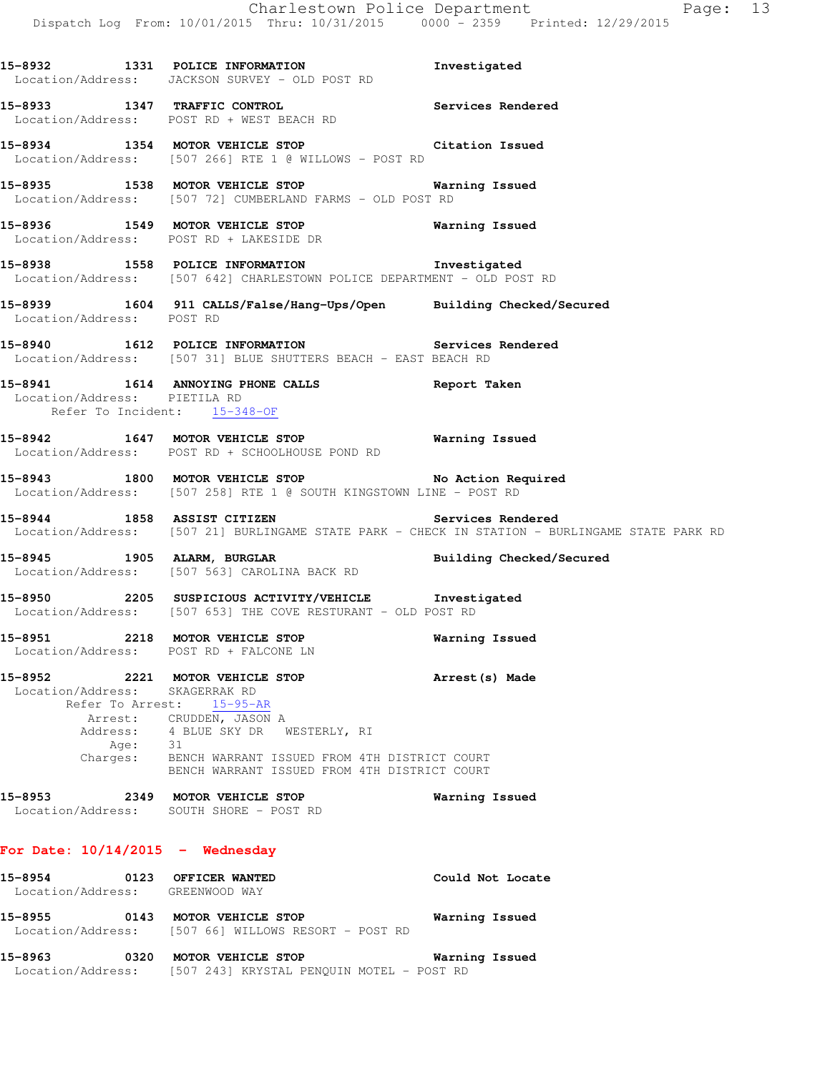|                                                                | Dispatch Log From: 10/01/2015 Thru: 10/31/2015 0000 - 2359 Printed: 12/29/2015                                                                                                                                                           | Charlestown Police Department<br>Page: 13                                                                           |
|----------------------------------------------------------------|------------------------------------------------------------------------------------------------------------------------------------------------------------------------------------------------------------------------------------------|---------------------------------------------------------------------------------------------------------------------|
|                                                                | 15-8932 1331 POLICE INFORMATION<br>Location/Address: JACKSON SURVEY - OLD POST RD                                                                                                                                                        | Investigated                                                                                                        |
|                                                                | 15-8933 1347 TRAFFIC CONTROL Services Rendered Location/Address: POST RD + WEST BEACH RD                                                                                                                                                 |                                                                                                                     |
|                                                                | 15-8934 1354 MOTOR VEHICLE STOP Citation Issued<br>Location/Address: [507 266] RTE 1 @ WILLOWS - POST RD                                                                                                                                 |                                                                                                                     |
|                                                                | 15-8935 1538 MOTOR VEHICLE STOP 6 Warning Issued<br>Location/Address: [507 72] CUMBERLAND FARMS - OLD POST RD                                                                                                                            |                                                                                                                     |
|                                                                | 15-8936 1549 MOTOR VEHICLE STOP 6 Warning Issued<br>Location/Address: POST RD + LAKESIDE DR                                                                                                                                              |                                                                                                                     |
|                                                                | 15-8938 1558 POLICE INFORMATION 1nvestigated<br>Location/Address: [507 642] CHARLESTOWN POLICE DEPARTMENT - OLD POST RD                                                                                                                  |                                                                                                                     |
| Location/Address: POST RD                                      | 15-8939 1604 911 CALLS/False/Hang-Ups/Open Building Checked/Secured                                                                                                                                                                      |                                                                                                                     |
|                                                                | 15-8940 1612 POLICE INFORMATION Services Rendered<br>Location/Address: [507 31] BLUE SHUTTERS BEACH - EAST BEACH RD                                                                                                                      |                                                                                                                     |
| Location/Address: PIETILA RD<br>Refer To Incident: 15-348-OF   | 15-8941 1614 ANNOYING PHONE CALLS Report Taken                                                                                                                                                                                           |                                                                                                                     |
|                                                                | 15-8942 1647 MOTOR VEHICLE STOP 6 Warning Issued<br>Location/Address: POST RD + SCHOOLHOUSE POND RD                                                                                                                                      |                                                                                                                     |
|                                                                | 15-8943 1800 MOTOR VEHICLE STOP No Action Required<br>Location/Address: [507 258] RTE 1 @ SOUTH KINGSTOWN LINE - POST RD                                                                                                                 |                                                                                                                     |
|                                                                | 15-8944 1858 ASSIST CITIZEN                                                                                                                                                                                                              | Services Rendered<br>Location/Address: [507 21] BURLINGAME STATE PARK - CHECK IN STATION - BURLINGAME STATE PARK RD |
|                                                                | 15-8945 1905 ALARM, BURGLAR<br>Location/Address: [507 563] CAROLINA BACK RD                                                                                                                                                              | Building Checked/Secured                                                                                            |
|                                                                | 15-8950 2205 SUSPICIOUS ACTIVITY/VEHICLE Investigated<br>Location/Address: [507 653] THE COVE RESTURANT - OLD POST RD                                                                                                                    |                                                                                                                     |
|                                                                | 15-8951 2218 MOTOR VEHICLE STOP<br>Location/Address: POST RD + FALCONE LN                                                                                                                                                                | Warning Issued                                                                                                      |
| Location/Address: SKAGERRAK RD<br>Age: 31                      | 15-8952 2221 MOTOR VEHICLE STOP<br>Refer To Arrest: 15-95-AR<br>Arrest: CRUDDEN, JASON A<br>Address: 4 BLUE SKY DR WESTERLY, RI<br>Charges: BENCH WARRANT ISSUED FROM 4TH DISTRICT COURT<br>BENCH WARRANT ISSUED FROM 4TH DISTRICT COURT | Arrest(s) Made                                                                                                      |
|                                                                | 15-8953 2349 MOTOR VEHICLE STOP<br>Location/Address: SOUTH SHORE - POST RD                                                                                                                                                               | Warning Issued                                                                                                      |
| For Date: $10/14/2015$ - Wednesday                             |                                                                                                                                                                                                                                          |                                                                                                                     |
| 15-8954 0123 OFFICER WANTED<br>Location/Address: GREENWOOD WAY |                                                                                                                                                                                                                                          | Could Not Locate                                                                                                    |
| 15-8955                                                        | 0143 MOTOR VEHICLE STOP                                                                                                                                                                                                                  | Warning Issued                                                                                                      |

**15-8963 0320 MOTOR VEHICLE STOP Warning Issued** 

Location/Address: [507 66] WILLOWS RESORT - POST RD

Location/Address: [507 243] KRYSTAL PENQUIN MOTEL - POST RD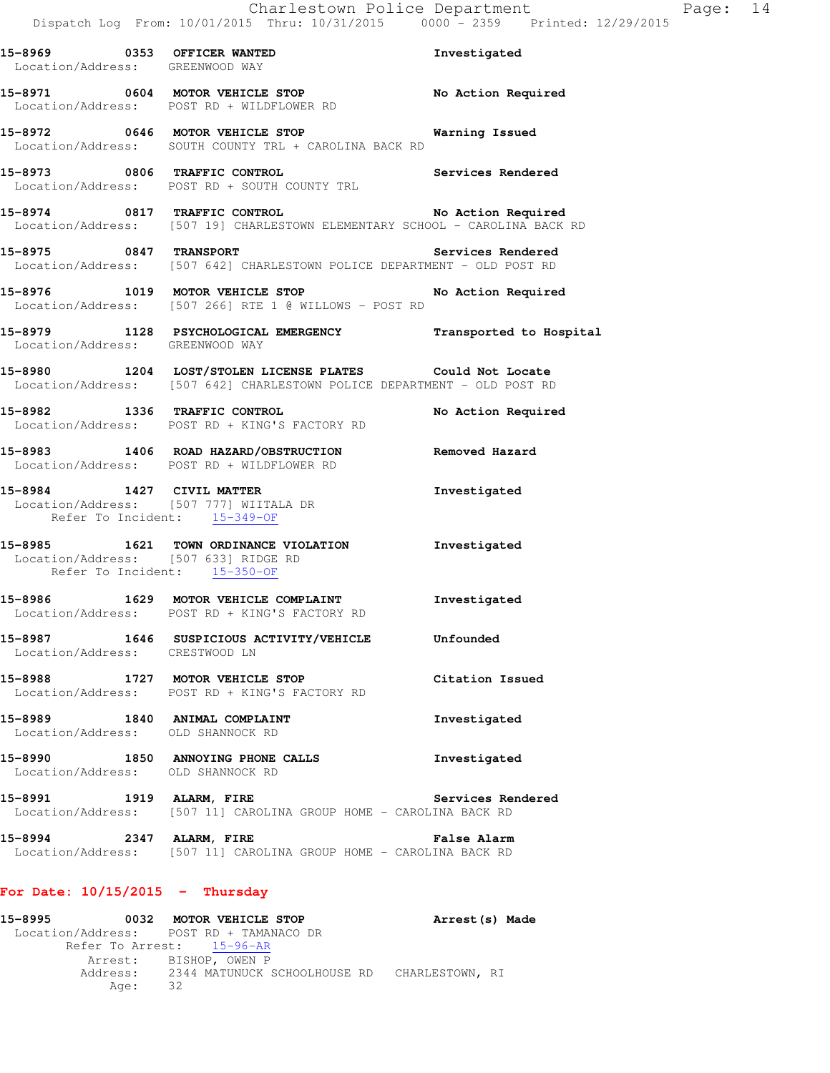| 15-8969 0353 OFFICER WANTED<br>Location/Address: GREENWOOD WAY |                                                                                                                                     | Investigated       |
|----------------------------------------------------------------|-------------------------------------------------------------------------------------------------------------------------------------|--------------------|
|                                                                | 15-8971 0604 MOTOR VEHICLE STOP No Action Required<br>Location/Address: POST RD + WILDFLOWER RD                                     |                    |
|                                                                | 15-8972 0646 MOTOR VEHICLE STOP<br>Location/Address: SOUTH COUNTY TRL + CAROLINA BACK RD                                            | Warning Issued     |
|                                                                | 15-8973 0806 TRAFFIC CONTROL Services Rendered Location/Address: POST RD + SOUTH COUNTY TRL                                         |                    |
|                                                                | 15-8974 0817 TRAFFIC CONTROL No Action Required<br>Location/Address: [507 19] CHARLESTOWN ELEMENTARY SCHOOL - CAROLINA BACK RD      |                    |
|                                                                | Location/Address: [507 642] CHARLESTOWN POLICE DEPARTMENT - OLD POST RD                                                             |                    |
|                                                                | 15-8976 1019 MOTOR VEHICLE STOP No Action Required<br>Location/Address: [507 266] RTE 1 @ WILLOWS - POST RD                         |                    |
| Location/Address: GREENWOOD WAY                                | 15-8979 1128 PSYCHOLOGICAL EMERGENCY Transported to Hospital                                                                        |                    |
|                                                                | 15-8980 1204 LOST/STOLEN LICENSE PLATES Could Not Locate<br>Location/Address: [507 642] CHARLESTOWN POLICE DEPARTMENT - OLD POST RD |                    |
|                                                                | 15-8982 1336 TRAFFIC CONTROL<br>Location/Address: POST RD + KING'S FACTORY RD                                                       | No Action Required |
|                                                                | Location/Address: POST RD + WILDFLOWER RD                                                                                           |                    |
|                                                                | 15-8984 1427 CIVIL MATTER<br>Location/Address: [507 777] WIITALA DR<br>Refer To Incident: 15-349-OF                                 | Investigated       |
|                                                                | 15-8985 1621 TOWN ORDINANCE VIOLATION Investigated<br>Location/Address: [507 633] RIDGE RD<br>Refer To Incident: 15-350-OF          |                    |
|                                                                | 15-8986 1629 MOTOR VEHICLE COMPLAINT<br>Location/Address: POST RD + KING'S FACTORY RD                                               | Investigated       |
| Location/Address: CRESTWOOD LN                                 | 15-8987 1646 SUSPICIOUS ACTIVITY/VEHICLE                                                                                            | Unfounded          |
|                                                                | 15-8988 1727 MOTOR VEHICLE STOP<br>Location/Address: POST RD + KING'S FACTORY RD                                                    | Citation Issued    |
|                                                                | 15-8989 1840 ANIMAL COMPLAINT<br>Location/Address: OLD SHANNOCK RD                                                                  | Investigated       |
| Location/Address: OLD SHANNOCK RD                              | 15-8990 1850 ANNOYING PHONE CALLS                                                                                                   | Investigated       |
| 15-8991 1919 ALARM, FIRE                                       | Location/Address: [507 11] CAROLINA GROUP HOME - CAROLINA BACK RD                                                                   | Services Rendered  |
| 15-8994 2347 ALARM, FIRE                                       | Location/Address: [507 11] CAROLINA GROUP HOME - CAROLINA BACK RD                                                                   | <b>False Alarm</b> |
| For Date: $10/15/2015$ - Thursday                              |                                                                                                                                     |                    |

**15-8995 0032 MOTOR VEHICLE STOP Arrest(s) Made**  Location/Address: POST RD + TAMANACO DR Refer To Arrest: 15-96-AR Arrest: BISHOP, OWEN P Address: 2344 MATUNUCK SCHOOLHOUSE RD CHARLESTOWN, RI Age: 32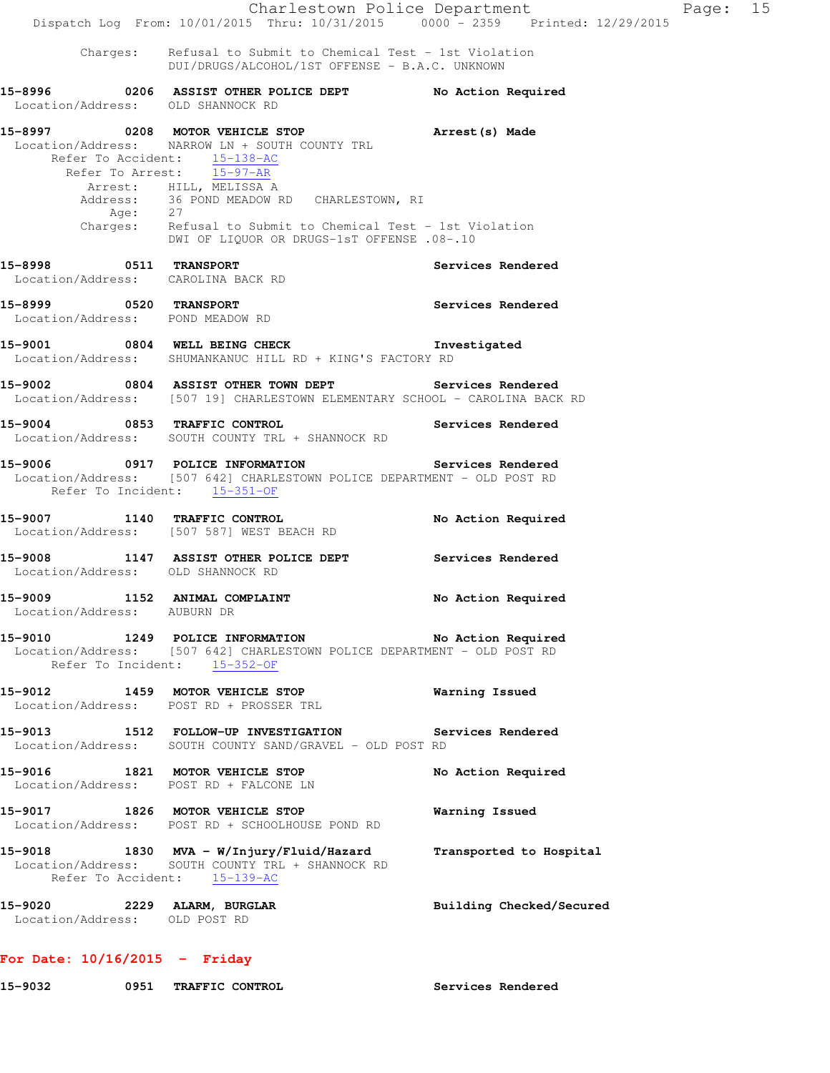Charlestown Police Department Page: 15 Dispatch Log From: 10/01/2015 Thru: 10/31/2015 0000 - 2359 Printed: 12/29/2015 Charges: Refusal to Submit to Chemical Test - 1st Violation DUI/DRUGS/ALCOHOL/1ST OFFENSE - B.A.C. UNKNOWN **15-8996 0206 ASSIST OTHER POLICE DEPT No Action Required**  Location/Address: OLD SHANNOCK RD **15-8997 0208 MOTOR VEHICLE STOP Arrest(s) Made**  Location/Address: NARROW LN + SOUTH COUNTY TRL Refer To Accident:  $\frac{15-138-AC}{15-97-AR}$  Refer To Arrest: 15-97-AR Arrest: HILL, MELISSA A Address: 36 POND MEADOW RD CHARLESTOWN, RI<br>Age: 27 Age: Charges: Refusal to Submit to Chemical Test - 1st Violation DWI OF LIQUOR OR DRUGS-1sT OFFENSE .08-.10 **15-8998 0511 TRANSPORT Services Rendered**  Location/Address: CAROLINA BACK RD **15-8999 0520 TRANSPORT Services Rendered**  Location/Address: POND MEADOW RD 15-9001 0804 WELL BEING CHECK **Investigated**  Location/Address: SHUMANKANUC HILL RD + KING'S FACTORY RD **15-9002 0804 ASSIST OTHER TOWN DEPT Services Rendered**  Location/Address: [507 19] CHARLESTOWN ELEMENTARY SCHOOL - CAROLINA BACK RD **15-9004 0853 TRAFFIC CONTROL Services Rendered**  Location/Address: SOUTH COUNTY TRL + SHANNOCK RD **15-9006 0917 POLICE INFORMATION Services Rendered**  Location/Address: [507 642] CHARLESTOWN POLICE DEPARTMENT - OLD POST RD Refer To Incident: 15-351-OF **15-9007 1140 TRAFFIC CONTROL No Action Required**  Location/Address: [507 587] WEST BEACH RD **15-9008 1147 ASSIST OTHER POLICE DEPT Services Rendered**  Location/Address: OLD SHANNOCK RD **15-9009 1152 ANIMAL COMPLAINT No Action Required**  Location/Address: AUBURN DR **15-9010 1249 POLICE INFORMATION No Action Required**  Location/Address: [507 642] CHARLESTOWN POLICE DEPARTMENT - OLD POST RD Refer To Incident: 15-352-OF **15-9012 1459 MOTOR VEHICLE STOP Warning Issued**  Location/Address: POST RD + PROSSER TRL **15-9013 1512 FOLLOW-UP INVESTIGATION Services Rendered**  Location/Address: SOUTH COUNTY SAND/GRAVEL - OLD POST RD **15-9016 1821 MOTOR VEHICLE STOP No Action Required**  Location/Address: POST RD + FALCONE LN **15-9017 1826 MOTOR VEHICLE STOP Warning Issued**  Location/Address: POST RD + SCHOOLHOUSE POND RD **15-9018 1830 MVA - W/Injury/Fluid/Hazard Transported to Hospital**  Location/Address: SOUTH COUNTY TRL + SHANNOCK RD Refer To Accident: 15-139-AC **15-9020 2229 ALARM, BURGLAR Building Checked/Secured**  Location/Address: OLD POST RD

### **For Date: 10/16/2015 - Friday**

| 15-9032 |  | 0951 TRAFFIC CONTROL | Services Rendered |
|---------|--|----------------------|-------------------|
|---------|--|----------------------|-------------------|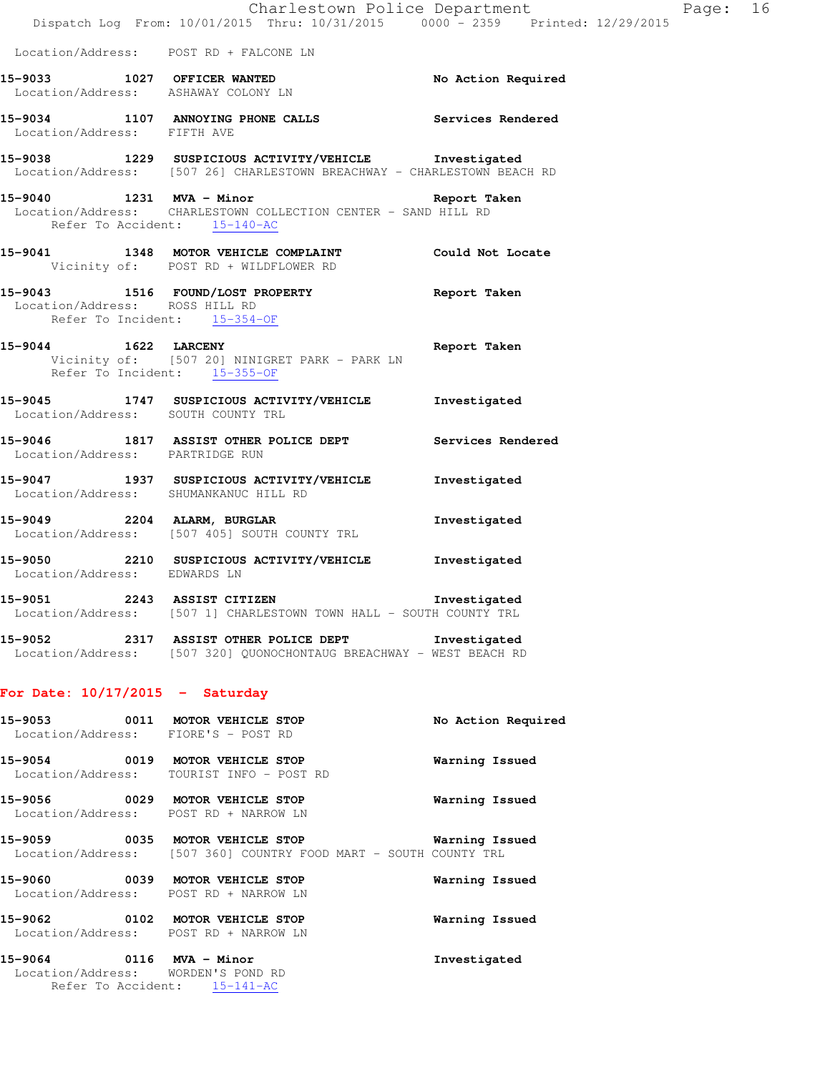|                                   | Charlestown Police Department                                                                                                                |              |
|-----------------------------------|----------------------------------------------------------------------------------------------------------------------------------------------|--------------|
|                                   | Dispatch Log From: 10/01/2015 Thru: 10/31/2015 0000 - 2359 Printed: 12/29/2015                                                               |              |
|                                   | Location/Address: POST RD + FALCONE LN                                                                                                       |              |
|                                   | 15-9033 1027 OFFICER WANTED No Action Required<br>Location/Address: ASHAWAY COLONY LN                                                        |              |
| Location/Address: FIFTH AVE       | 15-9034 1107 ANNOYING PHONE CALLS Services Rendered                                                                                          |              |
|                                   | 15-9038 1229 SUSPICIOUS ACTIVITY/VEHICLE Investigated<br>Location/Address: [507 26] CHARLESTOWN BREACHWAY - CHARLESTOWN BEACH RD             |              |
|                                   | 15-9040 1231 MVA - Minor Nine Report Taken<br>Location/Address: CHARLESTOWN COLLECTION CENTER - SAND HILL RD<br>Refer To Accident: 15-140-AC |              |
|                                   | 15-9041 1348 MOTOR VEHICLE COMPLAINT Could Not Locate<br>Vicinity of: POST RD + WILDFLOWER RD                                                |              |
| Location/Address: ROSS HILL RD    | 15-9043 1516 FOUND/LOST PROPERTY Report Taken<br>Refer To Incident: 15-354-OF                                                                |              |
| Refer To Incident: 15-355-OF      | 15-9044 1622 LARCENY 160 Report Taken<br>Vicinity of: [507 20] NINIGRET PARK - PARK LN                                                       |              |
|                                   | 15-9045 1747 SUSPICIOUS ACTIVITY/VEHICLE Investigated<br>Location/Address: SOUTH COUNTY TRL                                                  |              |
| Location/Address: PARTRIDGE RUN   | 15-9046 1817 ASSIST OTHER POLICE DEPT Services Rendered                                                                                      |              |
|                                   | 15-9047 1937 SUSPICIOUS ACTIVITY/VEHICLE Investigated<br>Location/Address: SHUMANKANUC HILL RD                                               |              |
|                                   | 15-9049 2204 ALARM, BURGLAR<br>Location/Address: [507 405] SOUTH COUNTY TRL                                                                  | Investigated |
| Location/Address: EDWARDS LN      | 15-9050 2210 SUSPICIOUS ACTIVITY/VEHICLE Investigated                                                                                        |              |
| 15-9051                           | 2243 ASSIST CITIZEN <b>Example 2243</b> ASSIST CITIZEN<br>Location/Address: [507 1] CHARLESTOWN TOWN HALL - SOUTH COUNTY TRL                 |              |
|                                   | 15-9052 2317 ASSIST OTHER POLICE DEPT Threstigated<br>Location/Address: [507 320] QUONOCHONTAUG BREACHWAY - WEST BEACH RD                    |              |
| For Date: $10/17/2015$ - Saturday |                                                                                                                                              |              |

Page: 16

# **15-9053 0011 MOTOR VEHICLE STOP No Action Required**  Location/Address: FIORE'S - POST RD **15-9054 0019 MOTOR VEHICLE STOP Warning Issued**  Location/Address: TOURIST INFO - POST RD **15-9056 0029 MOTOR VEHICLE STOP Warning Issued**  Location/Address: POST RD + NARROW LN **15-9059 0035 MOTOR VEHICLE STOP Warning Issued**  Location/Address: [507 360] COUNTRY FOOD MART - SOUTH COUNTY TRL **15-9060 0039 MOTOR VEHICLE STOP Warning Issued**  Location/Address: POST RD + NARROW LN **15-9062 0102 MOTOR VEHICLE STOP Warning Issued**  Location/Address: POST RD + NARROW LN **15-9064 0116 MVA - Minor Investigated**

 Location/Address: WORDEN'S POND RD Refer To Accident: 15-141-AC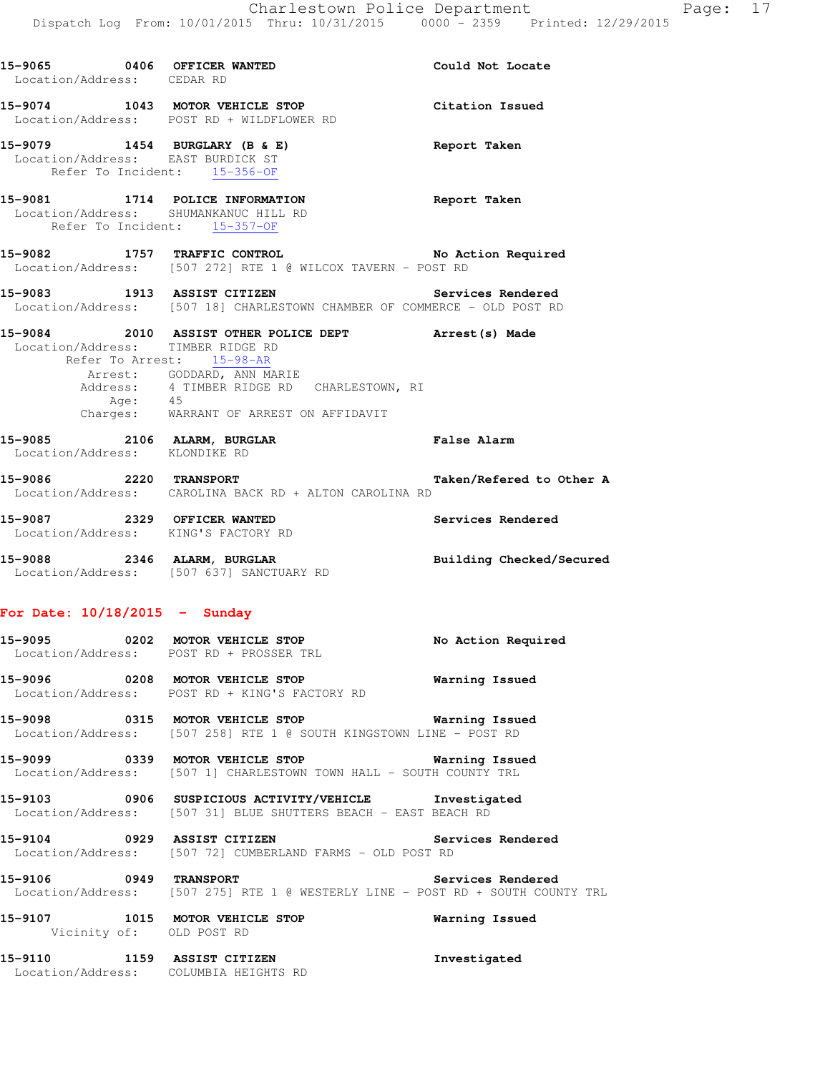| hru: 10/31/2015 | $0000 - 2359$ | Printed: 12/29/2015 |  |
|-----------------|---------------|---------------------|--|
|                 |               |                     |  |

| 15-9065 0406 OFFICER WANTED<br>Location/Address: CEDAR RD |      |                                                                                                                                                                                                                 | Could Not Locate         |
|-----------------------------------------------------------|------|-----------------------------------------------------------------------------------------------------------------------------------------------------------------------------------------------------------------|--------------------------|
|                                                           |      | 15-9074 1043 MOTOR VEHICLE STOP<br>Location/Address: POST RD + WILDFLOWER RD                                                                                                                                    | Citation Issued          |
|                                                           |      | 15-9079 1454 BURGLARY (B & E)<br>Location/Address: EAST BURDICK ST<br>Refer To Incident: 15-356-OF                                                                                                              | Report Taken             |
|                                                           |      | 15-9081 1714 POLICE INFORMATION<br>Location/Address: SHUMANKANUC HILL RD<br>Refer To Incident: 15-357-OF                                                                                                        | Report Taken             |
|                                                           |      | 15-9082 1757 TRAFFIC CONTROL No Action Required<br>Location/Address: [507 272] RTE 1 @ WILCOX TAVERN - POST RD                                                                                                  |                          |
|                                                           |      | 15-9083 1913 ASSIST CITIZEN Services Rendered<br>Location/Address: [507 18] CHARLESTOWN CHAMBER OF COMMERCE - OLD POST RD                                                                                       |                          |
| Location/Address: TIMBER RIDGE RD                         | Age: | 15-9084 2010 ASSIST OTHER POLICE DEPT Arrest (s) Made<br>Refer To Arrest: 15-98-AR<br>Arrest: GODDARD, ANN MARIE<br>Address: 4 TIMBER RIDGE RD CHARLESTOWN, RI<br>45<br>Charges: WARRANT OF ARREST ON AFFIDAVIT |                          |
| Location/Address: KLONDIKE RD                             |      | 15-9085 2106 ALARM, BURGLAR COMPARENT PALSE Alarm                                                                                                                                                               |                          |
|                                                           |      | 15-9086 2220 TRANSPORT<br>Location/Address: CAROLINA BACK RD + ALTON CAROLINA RD                                                                                                                                | Taken/Refered to Other A |
|                                                           |      | 15-9087 2329 OFFICER WANTED<br>Location/Address: KING'S FACTORY RD                                                                                                                                              | Services Rendered        |
|                                                           |      | 15-9088 2346 ALARM, BURGLAR<br>Location/Address: [507 637] SANCTUARY RD                                                                                                                                         | Building Checked/Secured |
| For Date: $10/18/2015$ - Sunday                           |      |                                                                                                                                                                                                                 |                          |
|                                                           |      | 15-9095 0202 MOTOR VEHICLE STOP<br>Location/Address: POST RD + PROSSER TRL                                                                                                                                      | No Action Required       |
| 15-9096                                                   |      | 0208 MOTOR VEHICLE STOP<br>Location/Address: POST RD + KING'S FACTORY RD                                                                                                                                        | Warning Issued           |
|                                                           |      | 15-9098 0315 MOTOR VEHICLE STOP Warning Issued<br>Location/Address: [507 258] RTE 1 @ SOUTH KINGSTOWN LINE - POST RD                                                                                            |                          |
|                                                           |      | 15-9099 0339 MOTOR VEHICLE STOP<br>Location/Address: [507 1] CHARLESTOWN TOWN HALL - SOUTH COUNTY TRL                                                                                                           | Warning Issued           |
|                                                           |      | 15-9103 0906 SUSPICIOUS ACTIVITY/VEHICLE Investigated<br>Location/Address: [507 31] BLUE SHUTTERS BEACH - EAST BEACH RD                                                                                         |                          |
| 15-9104 0929 ASSIST CITIZEN                               |      | Location/Address: [507 72] CUMBERLAND FARMS - OLD POST RD                                                                                                                                                       | Services Rendered        |
| 15-9106 0949 TRANSPORT                                    |      | Location/Address: [507 275] RTE 1 @ WESTERLY LINE - POST RD + SOUTH COUNTY TRL                                                                                                                                  | Services Rendered        |
|                                                           |      | 15-9107 1015 MOTOR VEHICLE STOP<br>Vicinity of: OLD POST RD                                                                                                                                                     | Warning Issued           |
|                                                           |      | 15-9110 1159 ASSIST CITIZEN<br>Location/Address: COLUMBIA HEIGHTS RD                                                                                                                                            | Investigated             |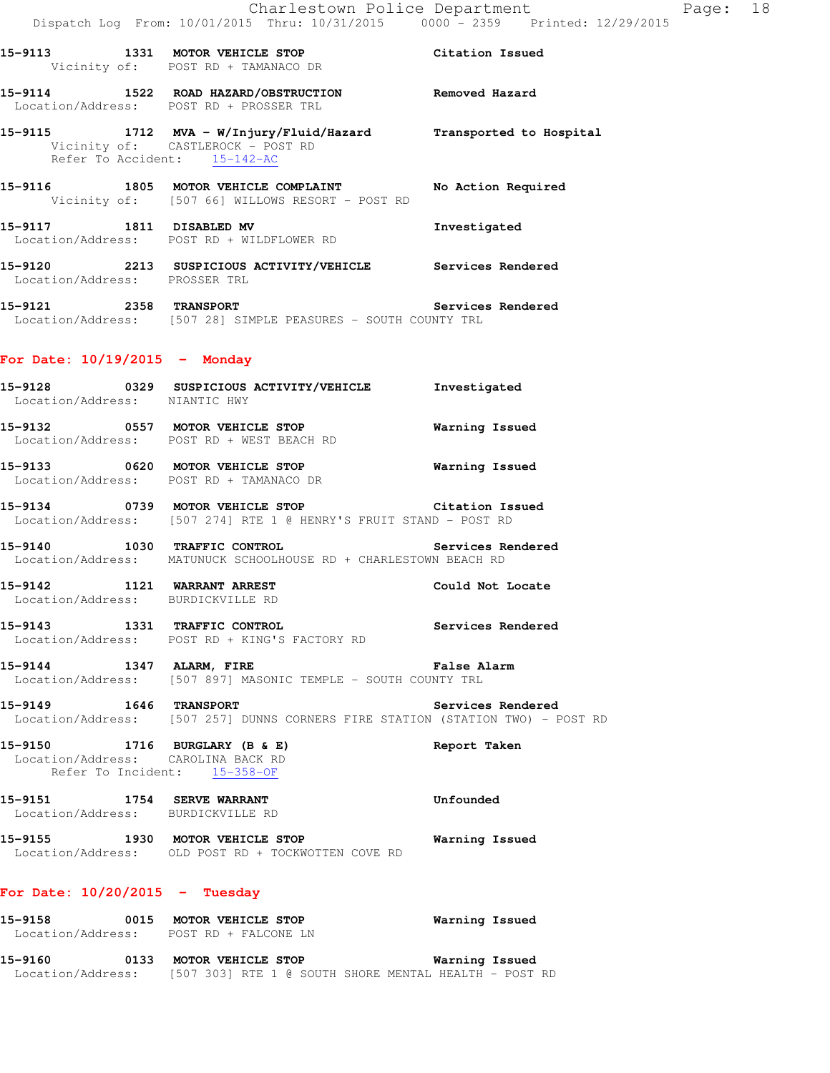**15-9115 1712 MVA - W/Injury/Fluid/Hazard Transported to Hospital**  Vicinity of: CASTLEROCK - POST RD Refer To Accident: 15-142-AC

Location/Address: POST RD + PROSSER TRL

**15-9116 1805 MOTOR VEHICLE COMPLAINT No Action Required**  Vicinity of: [507 66] WILLOWS RESORT - POST RD **15-9117 1811 DISABLED MV Investigated** 

 Location/Address: POST RD + WILDFLOWER RD **15-9120 2213 SUSPICIOUS ACTIVITY/VEHICLE Services Rendered**  Location/Address: PROSSER TRL

**15-9121 2358 TRANSPORT Services Rendered**  Location/Address: [507 28] SIMPLE PEASURES - SOUTH COUNTY TRL

### **For Date: 10/19/2015 - Monday**

| 15-9128<br>0329<br>Location/Address: | SUSPICIOUS ACTIVITY/VEHICLE<br>NIANTIC HWY    | Investigated   |
|--------------------------------------|-----------------------------------------------|----------------|
| 15-9132<br>0557<br>Location/Address: | MOTOR VEHICLE STOP<br>POST RD + WEST BEACH RD | Warning Issued |

**15-9133 0620 MOTOR VEHICLE STOP Warning Issued**  Location/Address: POST RD + TAMANACO DR

**15-9134 0739 MOTOR VEHICLE STOP Citation Issued**  Location/Address: [507 274] RTE 1 @ HENRY'S FRUIT STAND - POST RD

**15-9140 1030 TRAFFIC CONTROL Services Rendered**  Location/Address: MATUNUCK SCHOOLHOUSE RD + CHARLESTOWN BEACH RD

**15-9142 1121 WARRANT ARREST Could Not Locate**  Location/Address: BURDICKVILLE RD

**15-9143 1331 TRAFFIC CONTROL Services Rendered**  Location/Address: POST RD + KING'S FACTORY RD

**15-9144 1347 ALARM, FIRE False Alarm**  Location/Address: [507 897] MASONIC TEMPLE - SOUTH COUNTY TRL

**15-9149 1646 TRANSPORT Services Rendered**  Location/Address: [507 257] DUNNS CORNERS FIRE STATION (STATION TWO) - POST RD

**15-9150 1716 BURGLARY (B & E) Report Taken**  Location/Address: CAROLINA BACK RD Refer To Incident: 15-358-OF

**15-9151 1754 SERVE WARRANT Unfounded**  Location/Address: BURDICKVILLE RD

**15-9155 1930 MOTOR VEHICLE STOP Warning Issued**  Location/Address: OLD POST RD + TOCKWOTTEN COVE RD

### **For Date: 10/20/2015 - Tuesday**

| 15-9158 | 0015 | Warning Issued<br>MOTOR VEHICLE STOP<br>Location/Address: POST RD + FALCONE LN |  |
|---------|------|--------------------------------------------------------------------------------|--|
| 15-9160 | 0133 | Warning Issued<br><b>MOTOR VEHICLE STOP</b>                                    |  |
|         |      | Location/Address: [507 303] RTE 1 @ SOUTH SHORE MENTAL HEALTH - POST RD        |  |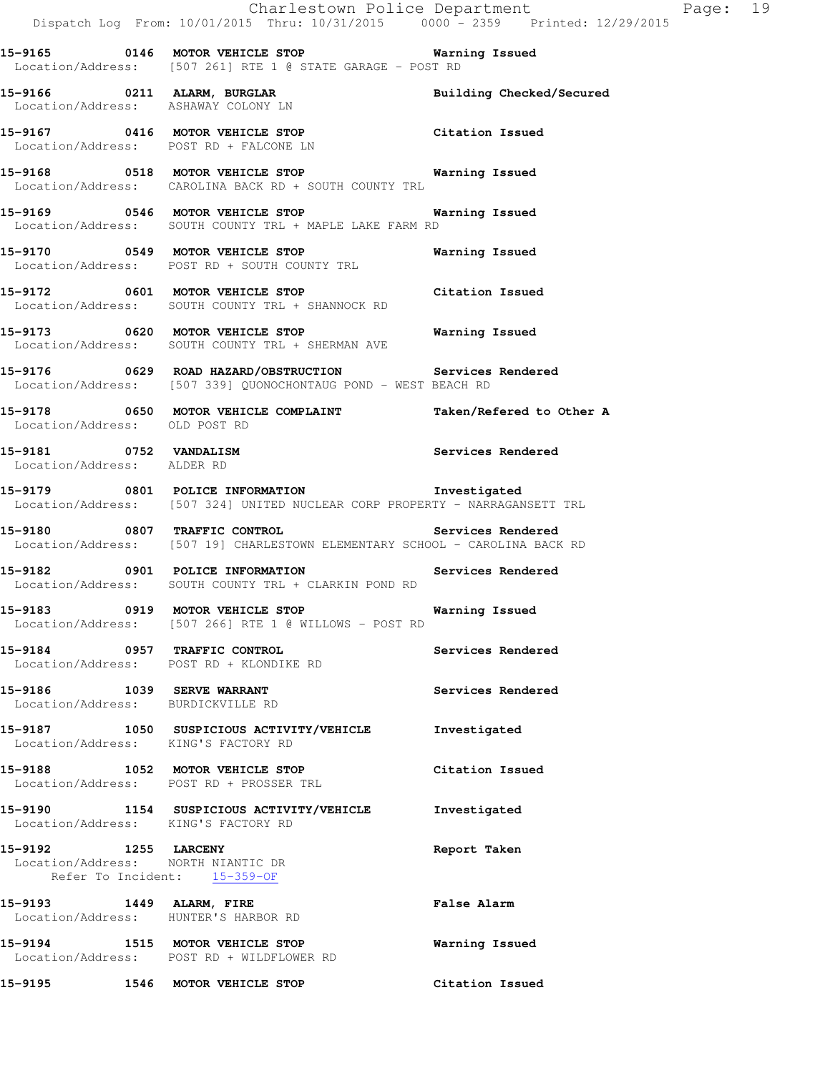|                               |                                                                                     |                                                                                                                          | Charlestown Police Department<br>Dispatch Log From: 10/01/2015 Thru: 10/31/2015 0000 <sup>-</sup> 2359 Printed: 12/29/2015  | Page: 19 |  |
|-------------------------------|-------------------------------------------------------------------------------------|--------------------------------------------------------------------------------------------------------------------------|-----------------------------------------------------------------------------------------------------------------------------|----------|--|
|                               |                                                                                     | Location/Address: [507 261] RTE 1 @ STATE GARAGE - POST RD                                                               |                                                                                                                             |          |  |
|                               | Location/Address: ASHAWAY COLONY LN                                                 | 15-9166 0211 ALARM, BURGLAR                                                                                              | Building Checked/Secured                                                                                                    |          |  |
|                               | Location/Address: POST RD + FALCONE LN                                              | 15-9167 0416 MOTOR VEHICLE STOP Citation Issued                                                                          |                                                                                                                             |          |  |
|                               |                                                                                     | 15-9168 0518 MOTOR VEHICLE STOP <b>Warning Issued</b><br>Location/Address: CAROLINA BACK RD + SOUTH COUNTY TRL           |                                                                                                                             |          |  |
|                               |                                                                                     | 15-9169 		 0546 MOTOR VEHICLE STOP 		 Warning Issued<br>Location/Address: SOUTH COUNTY TRL + MAPLE LAKE FARM RD          |                                                                                                                             |          |  |
|                               | Location/Address: POST RD + SOUTH COUNTY TRL                                        | 15-9170 0549 MOTOR VEHICLE STOP <b>WATER</b> Warning Issued                                                              |                                                                                                                             |          |  |
|                               | 15-9172 0601 MOTOR VEHICLE STOP<br>Location/Address: SOUTH COUNTY TRL + SHANNOCK RD |                                                                                                                          | Citation Issued                                                                                                             |          |  |
|                               | Location/Address: SOUTH COUNTY TRL + SHERMAN AVE                                    | 15-9173 0620 MOTOR VEHICLE STOP 6 Warning Issued                                                                         |                                                                                                                             |          |  |
|                               |                                                                                     | 15-9176 0629 ROAD HAZARD/OBSTRUCTION Services Rendered<br>Location/Address: [507 339] QUONOCHONTAUG POND - WEST BEACH RD |                                                                                                                             |          |  |
| Location/Address: OLD POST RD |                                                                                     |                                                                                                                          | 15-9178 0650 MOTOR VEHICLE COMPLAINT Taken/Refered to Other A                                                               |          |  |
| Location/Address: ALDER RD    | 15-9181 0752 VANDALISM                                                              |                                                                                                                          | Services Rendered                                                                                                           |          |  |
|                               |                                                                                     |                                                                                                                          | 15-9179 0801 POLICE INFORMATION 1nvestigated<br>Location/Address: [507 324] UNITED NUCLEAR CORP PROPERTY - NARRAGANSETT TRL |          |  |
|                               |                                                                                     | 15-9180 0807 TRAFFIC CONTROL                                                                                             | Services Rendered<br>Location/Address: [507 19] CHARLESTOWN ELEMENTARY SCHOOL - CAROLINA BACK RD                            |          |  |
|                               |                                                                                     | 15-9182 0901 POLICE INFORMATION<br>Location/Address: SOUTH COUNTY TRL + CLARKIN POND RD                                  | Services Rendered                                                                                                           |          |  |
|                               |                                                                                     | 15-9183 6919 MOTOR VEHICLE STOP 1991 Warning Issued<br>Location/Address: [507 266] RTE 1 @ WILLOWS - POST RD             |                                                                                                                             |          |  |
|                               | 15-9184 0957 TRAFFIC CONTROL<br>Location/Address: POST RD + KLONDIKE RD             |                                                                                                                          | Services Rendered                                                                                                           |          |  |
|                               | 15-9186 1039 SERVE WARRANT<br>Location/Address: BURDICKVILLE RD                     |                                                                                                                          | Services Rendered                                                                                                           |          |  |
|                               | Location/Address: KING'S FACTORY RD                                                 | 15-9187 1050 SUSPICIOUS ACTIVITY/VEHICLE                                                                                 | Investigated                                                                                                                |          |  |
|                               | 15-9188 1052 MOTOR VEHICLE STOP<br>Location/Address: POST RD + PROSSER TRL          |                                                                                                                          | Citation Issued                                                                                                             |          |  |
|                               | Location/Address: KING'S FACTORY RD                                                 | 15-9190 1154 SUSPICIOUS ACTIVITY/VEHICLE                                                                                 | Investigated                                                                                                                |          |  |
| 15-9192 1255 LARCENY          | Location/Address: MORTH NIANTIC DR<br>Refer To Incident: 15-359-OF                  |                                                                                                                          | Report Taken                                                                                                                |          |  |
|                               | 15-9193 1449 ALARM, FIRE<br>Location/Address: HUNTER'S HARBOR RD                    |                                                                                                                          | <b>False Alarm</b>                                                                                                          |          |  |
|                               | 15-9194 1515 MOTOR VEHICLE STOP<br>Location/Address: POST RD + WILDFLOWER RD        |                                                                                                                          | Warning Issued                                                                                                              |          |  |
|                               | 15-9195 1546 MOTOR VEHICLE STOP                                                     |                                                                                                                          | Citation Issued                                                                                                             |          |  |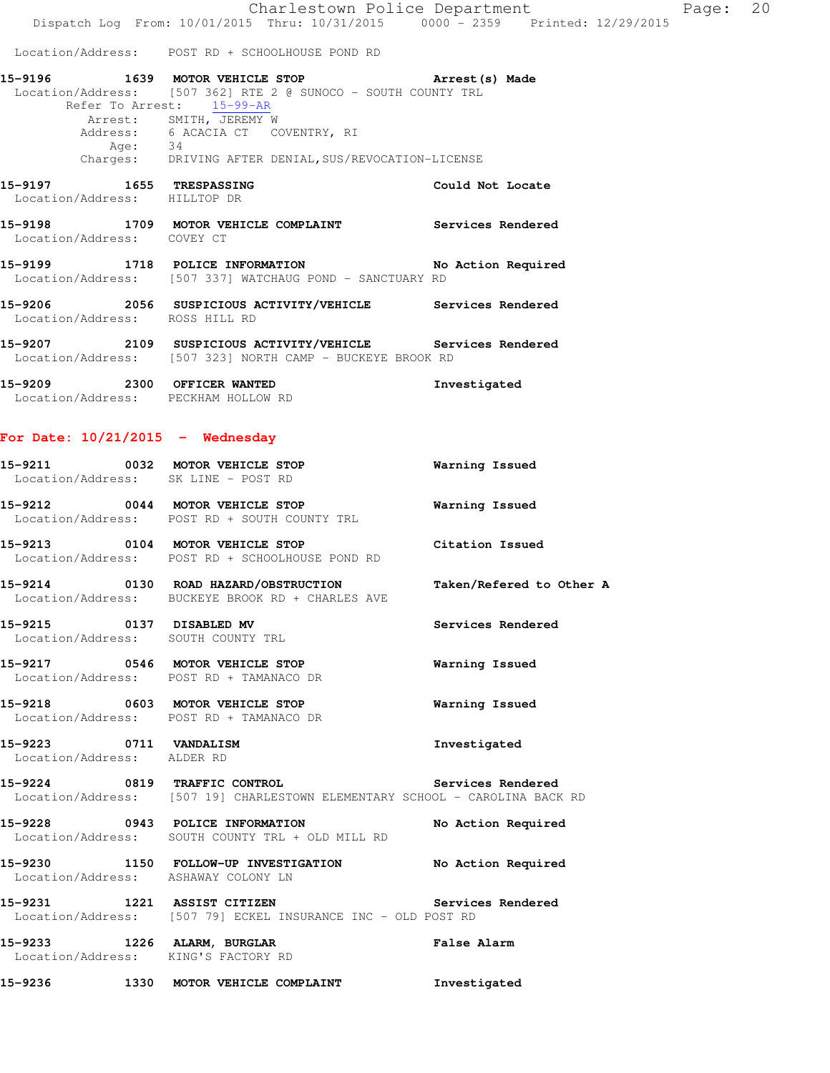Location/Address: POST RD + SCHOOLHOUSE POND RD

| 15-9196 |      | 1639 MOTOR VEHICLE STOP           |                                                               | Arrest (s) Made  |  |
|---------|------|-----------------------------------|---------------------------------------------------------------|------------------|--|
|         |      |                                   | Location/Address: [507 362] RTE 2 @ SUNOCO - SOUTH COUNTY TRL |                  |  |
|         |      | Refer To Arrest: 15-99-AR         |                                                               |                  |  |
|         |      | Arrest: SMITH, JEREMY W           |                                                               |                  |  |
|         |      | Address: 6 ACACIA CT COVENTRY, RI |                                                               |                  |  |
|         | Age: | -34                               |                                                               |                  |  |
|         |      |                                   | Charges: DRIVING AFTER DENIAL, SUS/REVOCATION-LICENSE         |                  |  |
| 15-9197 | 1655 | <b>TRESPASSING</b>                |                                                               | Could Not Locate |  |
|         |      | Location/Address: HILLTOP DR      |                                                               |                  |  |

**15-9198 1709 MOTOR VEHICLE COMPLAINT Services Rendered**  Location/Address: COVEY CT

**15-9199 1718 POLICE INFORMATION No Action Required**  Location/Address: [507 337] WATCHAUG POND - SANCTUARY RD

**15-9206 2056 SUSPICIOUS ACTIVITY/VEHICLE Services Rendered**  Location/Address: ROSS HILL RD

**15-9207 2109 SUSPICIOUS ACTIVITY/VEHICLE Services Rendered**  Location/Address: [507 323] NORTH CAMP - BUCKEYE BROOK RD

**15-9209 2300 OFFICER WANTED Investigated**  Location/Address: PECKHAM HOLLOW RD

### **For Date: 10/21/2015 - Wednesday**

| 15-9211 |      | 0032 MOTOR VEHICLE STOP<br>Location/Address: SK LINE - POST RD            | Warning Issued  |
|---------|------|---------------------------------------------------------------------------|-----------------|
| 15-9212 | 0044 | <b>MOTOR VEHICLE STOP</b><br>Location/Address: POST RD + SOUTH COUNTY TRL | Warning Issued  |
| 15-9213 | 0104 | MOTOR VEHICLE STOP                                                        | Citation Issued |

Location/Address: POST RD + SCHOOLHOUSE POND RD

**15-9214 0130 ROAD HAZARD/OBSTRUCTION Taken/Refered to Other A**  Location/Address: BUCKEYE BROOK RD + CHARLES AVE

**15-9215 0137 DISABLED MV Services Rendered**  Location/Address: SOUTH COUNTY TRL

**15-9217 0546 MOTOR VEHICLE STOP Warning Issued**  Location/Address: POST RD + TAMANACO DR

**15-9218 0603 MOTOR VEHICLE STOP Warning Issued**  Location/Address: POST RD + TAMANACO DR

**15-9223 0711 VANDALISM Investigated**  Location/Address: ALDER RD

**15-9224 0819 TRAFFIC CONTROL Services Rendered**  Location/Address: [507 19] CHARLESTOWN ELEMENTARY SCHOOL - CAROLINA BACK RD

**15-9228 0943 POLICE INFORMATION No Action Required**  Location/Address: SOUTH COUNTY TRL + OLD MILL RD

**15-9230 1150 FOLLOW-UP INVESTIGATION No Action Required**  Location/Address: ASHAWAY COLONY LN

**15-9231 1221 ASSIST CITIZEN Services Rendered**  Location/Address: [507 79] ECKEL INSURANCE INC - OLD POST RD

**15-9233 1226 ALARM, BURGLAR False Alarm**  Location/Address: KING'S FACTORY RD

**15-9236 1330 MOTOR VEHICLE COMPLAINT Investigated**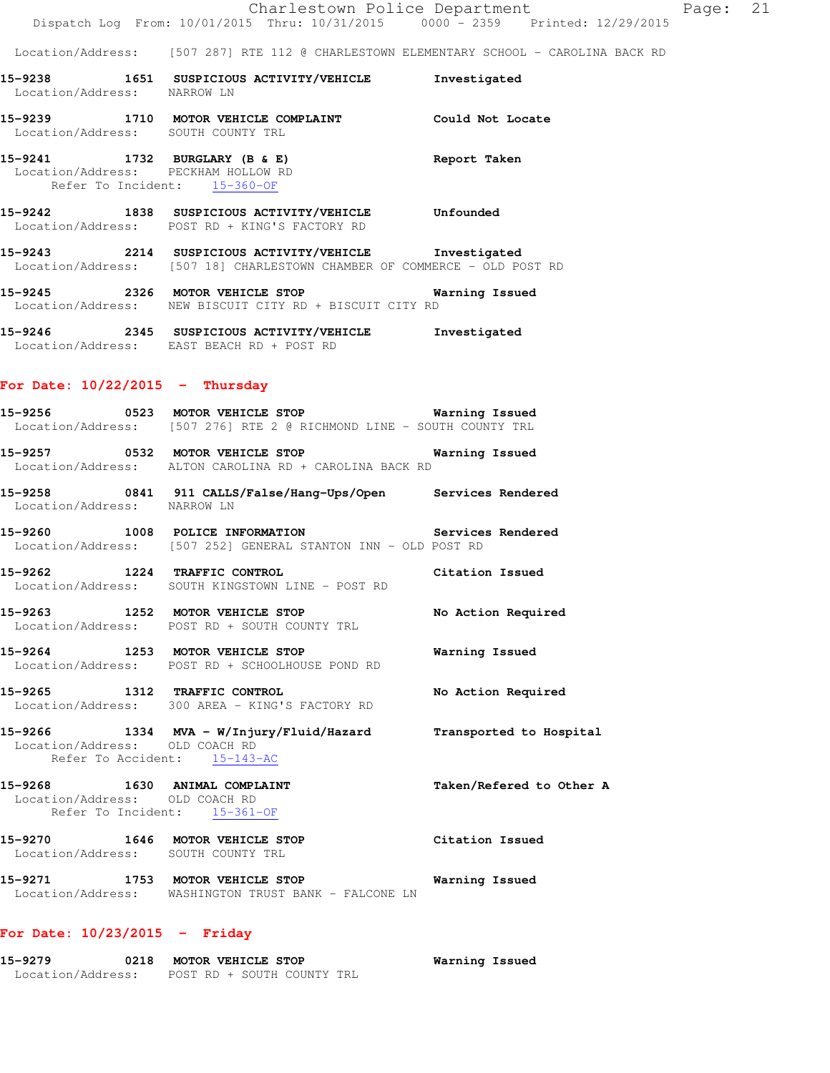|                                                                                                      | Charlestown Police Department                                                                                                     |                                                                                        |
|------------------------------------------------------------------------------------------------------|-----------------------------------------------------------------------------------------------------------------------------------|----------------------------------------------------------------------------------------|
|                                                                                                      |                                                                                                                                   | Dispatch Log From: 10/01/2015 Thru: 10/31/2015 0000 - 2359 Printed: 12/29/2015         |
|                                                                                                      |                                                                                                                                   | Location/Address: [507 287] RTE 112 @ CHARLESTOWN ELEMENTARY SCHOOL - CAROLINA BACK RD |
| Location/Address: NARROW LN                                                                          |                                                                                                                                   | Investigated                                                                           |
| Location/Address: SOUTH COUNTY TRL                                                                   | 15-9239 1710 MOTOR VEHICLE COMPLAINT                                                                                              | Could Not Locate                                                                       |
| 15-9241 1732 BURGLARY (B & E)<br>Location/Address: PECKHAM HOLLOW RD<br>Refer To Incident: 15-360-OF |                                                                                                                                   | Report Taken                                                                           |
|                                                                                                      | 15-9242 1838 SUSPICIOUS ACTIVITY/VEHICLE<br>Location/Address: POST RD + KING'S FACTORY RD                                         | Unfounded                                                                              |
|                                                                                                      | 15-9243 2214 SUSPICIOUS ACTIVITY/VEHICLE Investigated<br>Location/Address: [507 18] CHARLESTOWN CHAMBER OF COMMERCE - OLD POST RD |                                                                                        |

**15-9245 2326 MOTOR VEHICLE STOP Warning Issued**  Location/Address: NEW BISCUIT CITY RD + BISCUIT CITY RD

**15-9246 2345 SUSPICIOUS ACTIVITY/VEHICLE Investigated**  Location/Address: EAST BEACH RD + POST RD

### **For Date: 10/22/2015 - Thursday**

|                                | Location/Address: [507 276] RTE 2 @ RICHMOND LINE - SOUTH COUNTY TRL                                               |                    |
|--------------------------------|--------------------------------------------------------------------------------------------------------------------|--------------------|
|                                | Location/Address: ALTON CAROLINA RD + CAROLINA BACK RD                                                             |                    |
| Location/Address: NARROW LN    | 15-9258 0841 911 CALLS/False/Hang-Ups/Open Services Rendered                                                       |                    |
|                                | 15-9260 1008 POLICE INFORMATION 5ervices Rendered<br>Location/Address: [507 252] GENERAL STANTON INN - OLD POST RD |                    |
| 15-9262 1224 TRAFFIC CONTROL   | Citation Issued<br>Location/Address: SOUTH KINGSTOWN LINE - POST RD                                                |                    |
|                                | Location/Address: POST RD + SOUTH COUNTY TRL                                                                       | No Action Required |
|                                | 15-9264 1253 MOTOR VEHICLE STOP<br>Location/Address: POST RD + SCHOOLHOUSE POND RD                                 | Warning Issued     |
| 15-9265 1312 TRAFFIC CONTROL   | Location/Address: 300 AREA - KING'S FACTORY RD                                                                     | No Action Required |
| Location/Address: OLD COACH RD | 15-9266 1334 MVA - W/Injury/Fluid/Hazard Transported to Hospital                                                   |                    |

Refer To Accident: 15-143-AC

15-9268 1630 ANIMAL COMPLAINT **15-9268** Taken/Refered to Other A Location/Address: OLD COACH RD Refer To Incident: 15-361-OF **15-9270 1646 MOTOR VEHICLE STOP Citation Issued**  Location/Address: SOUTH COUNTY TRL

**15-9271 1753 MOTOR VEHICLE STOP Warning Issued**  Location/Address: WASHINGTON TRUST BANK - FALCONE LN

## **For Date: 10/23/2015 - Friday**

**15-9279 0218 MOTOR VEHICLE STOP Warning Issued**  Location/Address: POST RD + SOUTH COUNTY TRL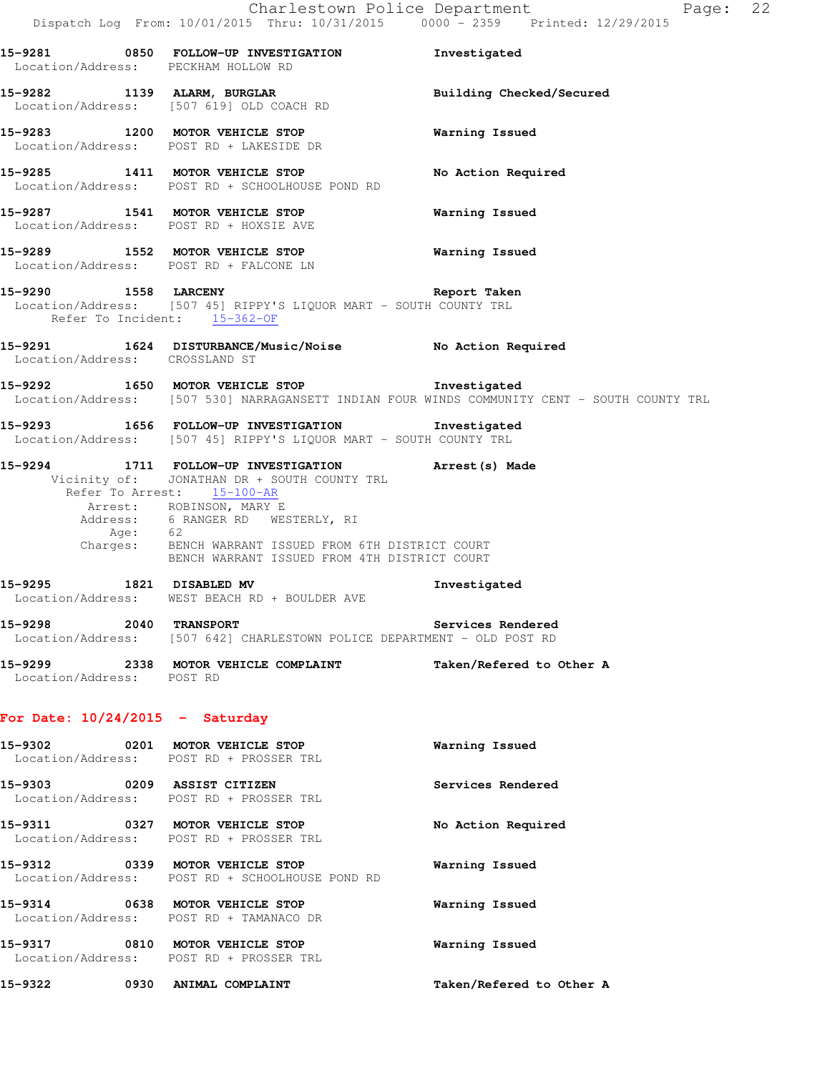**15-9281 0850 FOLLOW-UP INVESTIGATION Investigated**  Location/Address: PECKHAM HOLLOW RD 15-9282 1139 ALARM, BURGLAR **Building Checked/Secured**  Location/Address: [507 619] OLD COACH RD **15-9283 1200 MOTOR VEHICLE STOP Warning Issued**  Location/Address: POST RD + LAKESIDE DR **15-9285 1411 MOTOR VEHICLE STOP No Action Required**  Location/Address: POST RD + SCHOOLHOUSE POND RD **15-9287 1541 MOTOR VEHICLE STOP Warning Issued**  Location/Address: POST RD + HOXSIE AVE **15-9289 1552 MOTOR VEHICLE STOP Warning Issued**  Location/Address: POST RD + FALCONE LN **15-9290 1558 LARCENY Report Taken**  Location/Address: [507 45] RIPPY'S LIQUOR MART - SOUTH COUNTY TRL Refer To Incident: 15-362-OF **15-9291 1624 DISTURBANCE/Music/Noise No Action Required**  Location/Address: CROSSLAND ST **15-9292 1650 MOTOR VEHICLE STOP Investigated**  Location/Address: [507 530] NARRAGANSETT INDIAN FOUR WINDS COMMUNITY CENT - SOUTH COUNTY TRL **15-9293 1656 FOLLOW-UP INVESTIGATION Investigated**  Location/Address: [507 45] RIPPY'S LIQUOR MART - SOUTH COUNTY TRL **15-9294 1711 FOLLOW-UP INVESTIGATION Arrest(s) Made**  Vicinity of: JONATHAN DR + SOUTH COUNTY TRL Refer To Arrest: 15-100-AR Arrest: ROBINSON, MARY E Address: 6 RANGER RD WESTERLY, RI Age: 62 Charges: BENCH WARRANT ISSUED FROM 6TH DISTRICT COURT BENCH WARRANT ISSUED FROM 4TH DISTRICT COURT **15-9295 1821 DISABLED MV Investigated**  Location/Address: WEST BEACH RD + BOULDER AVE **15-9298 2040 TRANSPORT Services Rendered**  Location/Address: [507 642] CHARLESTOWN POLICE DEPARTMENT - OLD POST RD **15-9299 2338 MOTOR VEHICLE COMPLAINT Taken/Refered to Other A**  Location/Address: POST RD **For Date: 10/24/2015 - Saturday 15-9302 0201 MOTOR VEHICLE STOP Warning Issued**  Location/Address: POST RD + PROSSER TRL **15-9303 0209 ASSIST CITIZEN Services Rendered**  Location/Address: POST RD + PROSSER TRL **15-9311 0327 MOTOR VEHICLE STOP No Action Required**  Location/Address: POST RD + PROSSER TRL **15-9312 0339 MOTOR VEHICLE STOP Warning Issued**  Location/Address: POST RD + SCHOOLHOUSE POND RD **15-9314 0638 MOTOR VEHICLE STOP Warning Issued**  Location/Address: POST RD + TAMANACO DR **15-9317 0810 MOTOR VEHICLE STOP Warning Issued** 

**15-9322 0930 ANIMAL COMPLAINT Taken/Refered to Other A** 

Location/Address: POST RD + PROSSER TRL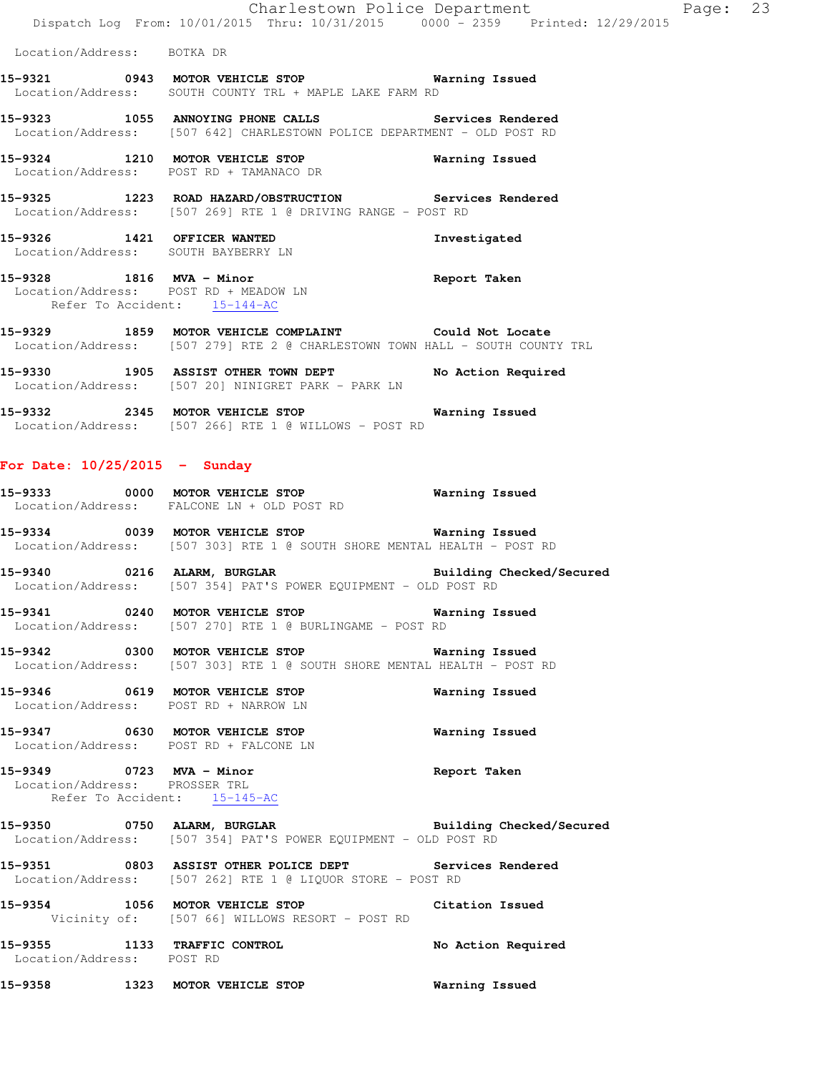Location/Address: BOTKA DR

- **15-9321 0943 MOTOR VEHICLE STOP Warning Issued**  Location/Address: SOUTH COUNTY TRL + MAPLE LAKE FARM RD
- **15-9323 1055 ANNOYING PHONE CALLS Services Rendered**  Location/Address: [507 642] CHARLESTOWN POLICE DEPARTMENT - OLD POST RD
- **15-9324 1210 MOTOR VEHICLE STOP Warning Issued**  Location/Address: POST RD + TAMANACO DR
- **15-9325 1223 ROAD HAZARD/OBSTRUCTION Services Rendered**  Location/Address: [507 269] RTE 1 @ DRIVING RANGE - POST RD
- **15-9326 1421 OFFICER WANTED Investigated**  Location/Address: SOUTH BAYBERRY LN
- **15-9328 1816 MVA Minor Report Taken**  Location/Address: POST RD + MEADOW LN Refer To Accident: 15-144-AC
- **15-9329 1859 MOTOR VEHICLE COMPLAINT Could Not Locate**  Location/Address: [507 279] RTE 2 @ CHARLESTOWN TOWN HALL - SOUTH COUNTY TRL
- **15-9330 1905 ASSIST OTHER TOWN DEPT No Action Required**  Location/Address: [507 20] NINIGRET PARK - PARK LN
- **15-9332 2345 MOTOR VEHICLE STOP Warning Issued**  Location/Address: [507 266] RTE 1 @ WILLOWS - POST RD

### **For Date: 10/25/2015 - Sunday**

- **15-9333 0000 MOTOR VEHICLE STOP Warning Issued**  Location/Address: FALCONE LN + OLD POST RD
- **15-9334 0039 MOTOR VEHICLE STOP Warning Issued**  Location/Address: [507 303] RTE 1 @ SOUTH SHORE MENTAL HEALTH - POST RD
- **15-9340 0216 ALARM, BURGLAR Building Checked/Secured**  Location/Address: [507 354] PAT'S POWER EQUIPMENT - OLD POST RD
- **15-9341 0240 MOTOR VEHICLE STOP Warning Issued**  Location/Address: [507 270] RTE 1 @ BURLINGAME - POST RD
- **15-9342 0300 MOTOR VEHICLE STOP Warning Issued**  Location/Address: [507 303] RTE 1 @ SOUTH SHORE MENTAL HEALTH - POST RD
- **15-9346 0619 MOTOR VEHICLE STOP Warning Issued**  Location/Address: POST RD + NARROW LN
- **15-9347 0630 MOTOR VEHICLE STOP Warning Issued**  Location/Address: POST RD + FALCONE LN
- **15-9349 0723 MVA Minor Report Taken**  Location/Address: PROSSER TRL Refer To Accident: 15-145-AC
- **15-9350 0750 ALARM, BURGLAR Building Checked/Secured**  Location/Address: [507 354] PAT'S POWER EQUIPMENT - OLD POST RD
- **15-9351 0803 ASSIST OTHER POLICE DEPT Services Rendered**  Location/Address: [507 262] RTE 1 @ LIQUOR STORE - POST RD
- **15-9354 1056 MOTOR VEHICLE STOP Citation Issued**  Vicinity of: [507 66] WILLOWS RESORT - POST RD
- **15-9355 1133 TRAFFIC CONTROL No Action Required**  Location/Address: POST RD
- **15-9358 1323 MOTOR VEHICLE STOP Warning Issued**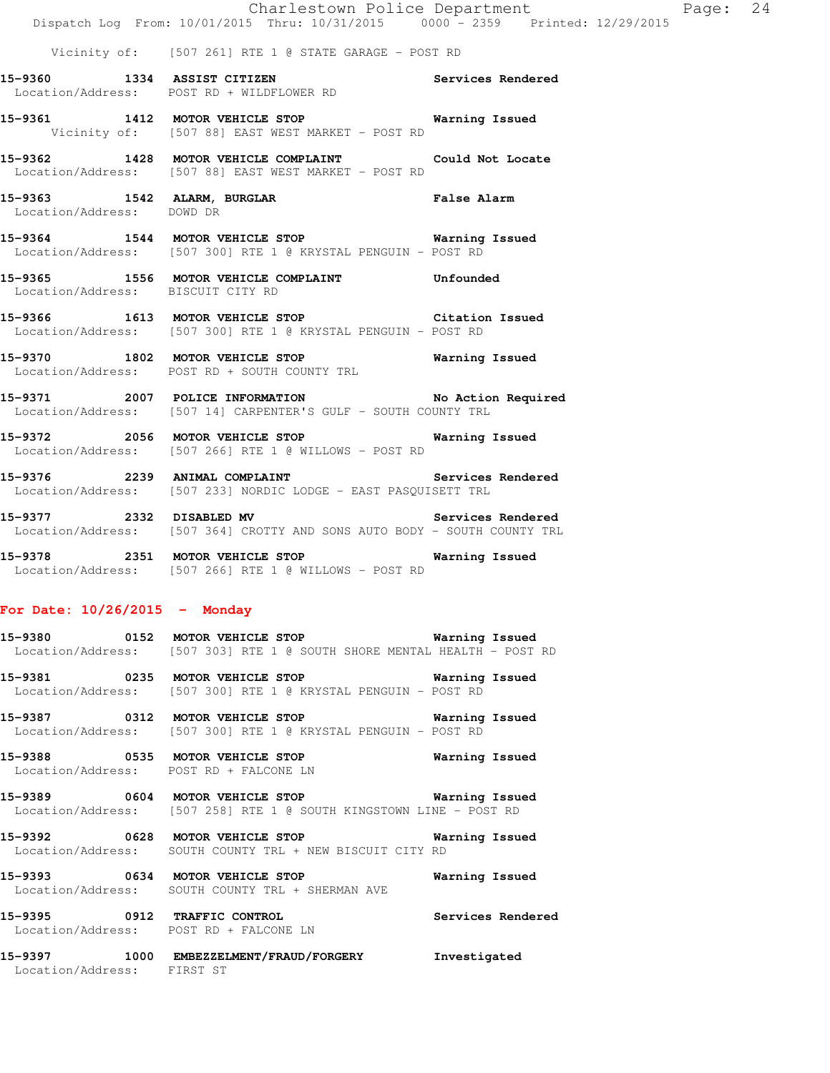|                                   | Charlestown Police Department<br>Dispatch Log From: 10/01/2015 Thru: 10/31/2015 0000 - 2359 Printed: 12/29/2015      |  |
|-----------------------------------|----------------------------------------------------------------------------------------------------------------------|--|
|                                   | Vicinity of: [507 261] RTE 1 @ STATE GARAGE - POST RD                                                                |  |
|                                   | 15-9360 1334 ASSIST CITIZEN Services Rendered<br>Location/Address: POST RD + WILDFLOWER RD                           |  |
|                                   | 15-9361 1412 MOTOR VEHICLE STOP 6 Warning Issued<br>Vicinity of: [507 88] EAST WEST MARKET - POST RD                 |  |
|                                   | 15-9362 1428 MOTOR VEHICLE COMPLAINT Could Not Locate<br>Location/Address: [507 88] EAST WEST MARKET - POST RD       |  |
| Location/Address: DOWD DR         | 15-9363 1542 ALARM, BURGLAR 15 Palse Alarm                                                                           |  |
|                                   | 15-9364 1544 MOTOR VEHICLE STOP 6 Warning Issued<br>Location/Address: [507 300] RTE 1 @ KRYSTAL PENGUIN - POST RD    |  |
| Location/Address: BISCUIT CITY RD | 15-9365 1556 MOTOR VEHICLE COMPLAINT Unfounded                                                                       |  |
|                                   | 15-9366 1613 MOTOR VEHICLE STOP Citation Issued<br>Location/Address: [507 300] RTE 1 @ KRYSTAL PENGUIN - POST RD     |  |
|                                   | 15-9370 1802 MOTOR VEHICLE STOP 6 Warning Issued<br>Location/Address: POST RD + SOUTH COUNTY TRL                     |  |
|                                   | 15-9371 2007 POLICE INFORMATION No Action Required<br>Location/Address: [507 14] CARPENTER'S GULF - SOUTH COUNTY TRL |  |
|                                   | 15-9372 2056 MOTOR VEHICLE STOP 6 Warning Issued<br>Location/Address: [507 266] RTE 1 @ WILLOWS - POST RD            |  |

Page: 24

**15-9376 2239 ANIMAL COMPLAINT Services Rendered**  Location/Address: [507 233] NORDIC LODGE - EAST PASQUISETT TRL

15-9377 2332 DISABLED MV **Services Rendered** Location/Address: [507 364] CROTTY AND SONS AUTO BODY - SOUTH COUNTY TRL

**15-9378 2351 MOTOR VEHICLE STOP Warning Issued**  Location/Address: [507 266] RTE 1 @ WILLOWS - POST RD

### **For Date: 10/26/2015 - Monday**

| 15-9380 | 0152 MOTOR VEHICLE STOP                                                                  | Warning Issued |
|---------|------------------------------------------------------------------------------------------|----------------|
|         | Location/Address: [507 303] RTE 1 @ SOUTH SHORE MENTAL HEALTH - POST RD                  |                |
| 15-9381 | 0235 MOTOR VEHICLE STOP<br>Location/Address: [507 300] RTE 1 @ KRYSTAL PENGUIN - POST RD | Warning Issued |
| 15-9387 | 0312 MOTOR VEHICLE STOP                                                                  | Warning Issued |

Location/Address: [507 300] RTE 1 @ KRYSTAL PENGUIN - POST RD

**15-9388 0535 MOTOR VEHICLE STOP Warning Issued**  Location/Address: POST RD + FALCONE LN

**15-9389 0604 MOTOR VEHICLE STOP Warning Issued**  Location/Address: [507 258] RTE 1 @ SOUTH KINGSTOWN LINE - POST RD

**15-9392 0628 MOTOR VEHICLE STOP Warning Issued**  Location/Address: SOUTH COUNTY TRL + NEW BISCUIT CITY RD

**15-9393 0634 MOTOR VEHICLE STOP Warning Issued**  Location/Address: SOUTH COUNTY TRL + SHERMAN AVE

**15-9395 0912 TRAFFIC CONTROL Services Rendered**  Location/Address: POST RD + FALCONE LN

**15-9397 1000 EMBEZZELMENT/FRAUD/FORGERY Investigated**  Location/Address: FIRST ST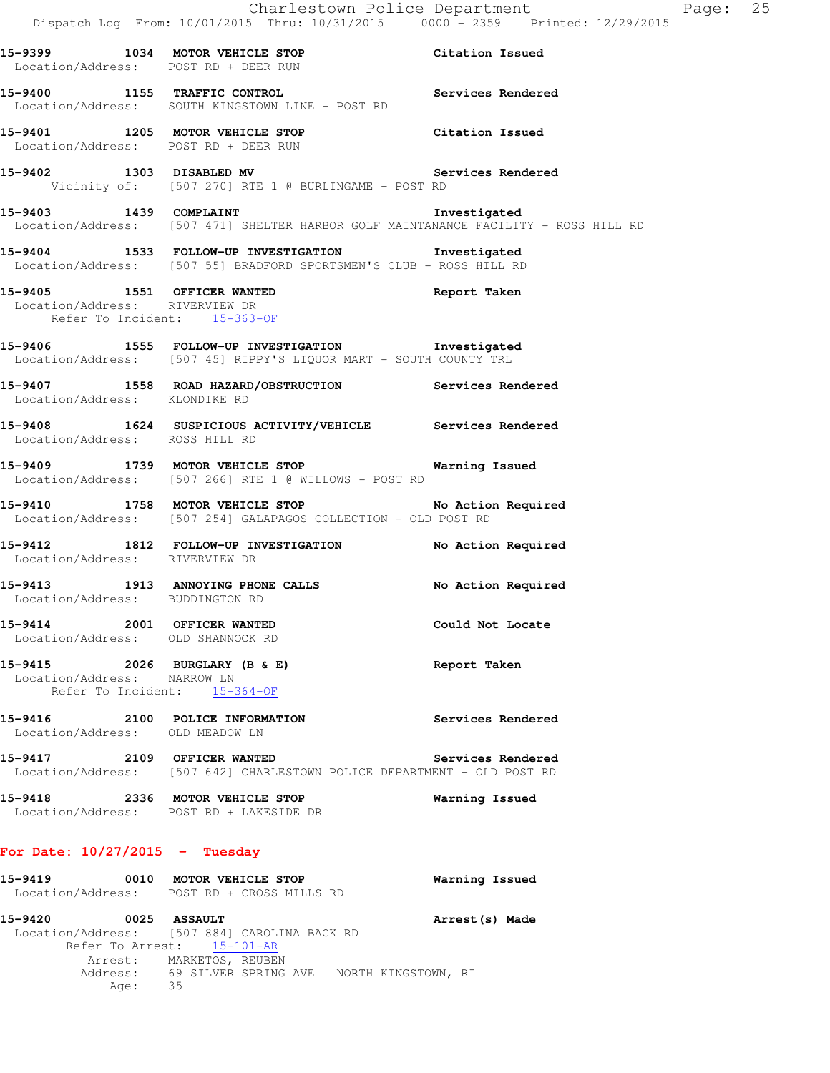|                                                                  | Dispatch Log From: 10/01/2015 Thru: 10/31/2015 0000 - 2359 Printed: 12/29/2015                                           | Charlestown Police Department Fage: 25 |  |
|------------------------------------------------------------------|--------------------------------------------------------------------------------------------------------------------------|----------------------------------------|--|
|                                                                  | 15-9399 1034 MOTOR VEHICLE STOP Citation Issued<br>Location/Address: POST RD + DEER RUN                                  |                                        |  |
|                                                                  | 15-9400 1155 TRAFFIC CONTROL Services Rendered<br>Location/Address: SOUTH KINGSTOWN LINE - POST RD                       |                                        |  |
|                                                                  | 15-9401 1205 MOTOR VEHICLE STOP Citation Issued<br>Location/Address: POST RD + DEER RUN                                  |                                        |  |
|                                                                  | 15-9402 1303 DISABLED MV Services Rendered<br>Vicinity of: [507 270] RTE 1 @ BURLINGAME - POST RD                        |                                        |  |
|                                                                  | Location/Address: [507 471] SHELTER HARBOR GOLF MAINTANANCE FACILITY - ROSS HILL RD                                      |                                        |  |
|                                                                  | 15-9404 1533 FOLLOW-UP INVESTIGATION 1nvestigated<br>Location/Address: [507 55] BRADFORD SPORTSMEN'S CLUB - ROSS HILL RD |                                        |  |
| Location/Address: RIVERVIEW DR<br>Refer To Incident: 15-363-OF   | 15-9405 1551 OFFICER WANTED 15-9405 Report Taken                                                                         |                                        |  |
|                                                                  | 15-9406 1555 FOLLOW-UP INVESTIGATION 1nvestigated<br>Location/Address: [507 45] RIPPY'S LIQUOR MART - SOUTH COUNTY TRL   |                                        |  |
|                                                                  | 15-9407   1558   ROAD HAZARD/OBSTRUCTION   Services Rendered Location/Address: KLONDIKE RD                               |                                        |  |
| Location/Address: ROSS HILL RD                                   | <br> 15-9408 1624 SUSPICIOUS ACTIVITY/VEHICLE Services Rendered                                                          |                                        |  |
|                                                                  | 15-9409 1739 MOTOR VEHICLE STOP Warning Issued<br>Location/Address: [507 266] RTE 1 @ WILLOWS - POST RD                  |                                        |  |
|                                                                  | 15-9410 1758 MOTOR VEHICLE STOP No Action Required<br>Location/Address: [507 254] GALAPAGOS COLLECTION - OLD POST RD     |                                        |  |
| Location/Address: RIVERVIEW DR                                   | 15-9412 1812 FOLLOW-UP INVESTIGATION No Action Required                                                                  |                                        |  |
| Location/Address: BUDDINGTON RD                                  | 15-9413 1913 ANNOYING PHONE CALLS 10 No Action Required                                                                  |                                        |  |
| 15-9414 2001 OFFICER WANTED<br>Location/Address: OLD SHANNOCK RD |                                                                                                                          | Could Not Locate                       |  |
| 15-9415 2026 BURGLARY (B & E)<br>Location/Address: NARROW LN     | Refer To Incident: 15-364-OF                                                                                             | Report Taken                           |  |
| Location/Address: OLD MEADOW LN                                  | 15-9416 2100 POLICE INFORMATION                                                                                          | Services Rendered                      |  |
|                                                                  | 15-9417 2109 OFFICER WANTED<br>Location/Address: [507 642] CHARLESTOWN POLICE DEPARTMENT - OLD POST RD                   | Services Rendered                      |  |
|                                                                  | 15-9418 2336 MOTOR VEHICLE STOP<br>Location/Address: POST RD + LAKESIDE DR                                               | Warning Issued                         |  |
|                                                                  |                                                                                                                          |                                        |  |

**For Date: 10/27/2015 - Tuesday**

| $15 - 9419$       | 0010 | MOTOR VEHICLE STOP                           | Warning Issued      |
|-------------------|------|----------------------------------------------|---------------------|
| Location/Address: |      | POST RD + CROSS MILLS RD                     |                     |
| 15-9420           | 0025 | <b>ASSAULT</b>                               | Arrest (s) Made     |
|                   |      | Location/Address: [507 884] CAROLINA BACK RD |                     |
|                   |      | Refer To Arrest: 15-101-AR                   |                     |
|                   |      | Arrest: MARKETOS, REUBEN                     |                     |
|                   | Age: | Address: 69 SILVER SPRING AVE<br>35          | NORTH KINGSTOWN, RI |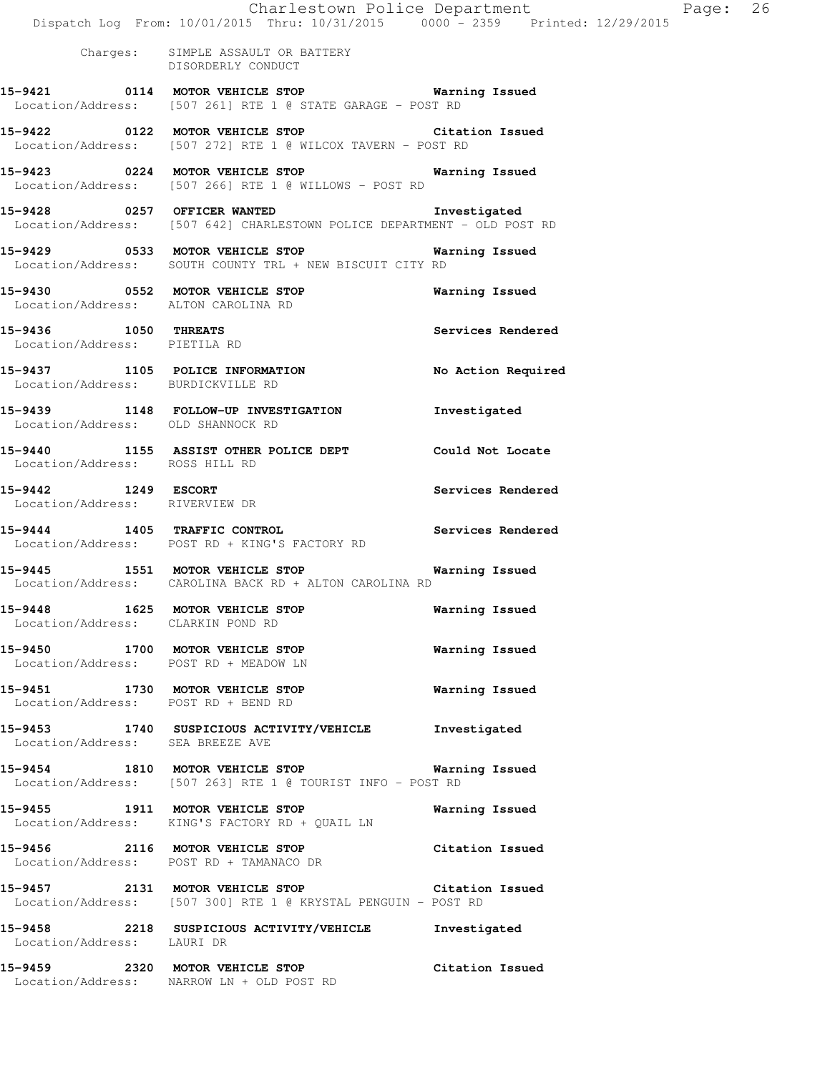|                                                       | Dispatch Log From: 10/01/2015 Thru: 10/31/2015 0000 - 2359 Printed: 12/29/2015                                              | Charlestown Police Department The Rage: 26 |  |
|-------------------------------------------------------|-----------------------------------------------------------------------------------------------------------------------------|--------------------------------------------|--|
|                                                       | Charges: SIMPLE ASSAULT OR BATTERY<br>DISORDERLY CONDUCT                                                                    |                                            |  |
|                                                       | 15-9421 0114 MOTOR VEHICLE STOP Warning Issued<br>Location/Address: [507 261] RTE 1 @ STATE GARAGE - POST RD                |                                            |  |
|                                                       | 15-9422 0122 MOTOR VEHICLE STOP Citation Issued<br>Location/Address: [507 272] RTE 1 @ WILCOX TAVERN - POST RD              |                                            |  |
|                                                       | 15-9423 0224 MOTOR VEHICLE STOP 6 Warning Issued<br>Location/Address: [507 266] RTE 1 @ WILLOWS - POST RD                   |                                            |  |
|                                                       | 15-9428 0257 OFFICER WANTED 15-9428 Investigated<br>Location/Address: [507 642] CHARLESTOWN POLICE DEPARTMENT - OLD POST RD |                                            |  |
|                                                       | 15-9429 0533 MOTOR VEHICLE STOP 6 Warning Issued<br>Location/Address: SOUTH COUNTY TRL + NEW BISCUIT CITY RD                |                                            |  |
|                                                       | 15-9430 0552 MOTOR VEHICLE STOP<br>Location/Address: ALTON CAROLINA RD                                                      | Warning Issued                             |  |
| 15-9436 1050 THREATS<br>Location/Address: PIETILA RD  |                                                                                                                             | Services Rendered                          |  |
| Location/Address: BURDICKVILLE RD                     | 15-9437 1105 POLICE INFORMATION No Action Required                                                                          |                                            |  |
| Location/Address: OLD SHANNOCK RD                     | 15-9439 1148 FOLLOW-UP INVESTIGATION Thvestigated                                                                           |                                            |  |
| Location/Address: ROSS HILL RD                        | 15-9440 1155 ASSIST OTHER POLICE DEPT Could Not Locate                                                                      |                                            |  |
| 15-9442 1249 ESCORT<br>Location/Address: RIVERVIEW DR |                                                                                                                             | Services Rendered                          |  |
|                                                       | 15-9444 1405 TRAFFIC CONTROL<br>Location/Address: POST RD + KING'S FACTORY RD                                               | Services Rendered                          |  |
|                                                       | 15-9445 1551 MOTOR VEHICLE STOP <b>Warning Issued</b><br>Location/Address: CAROLINA BACK RD + ALTON CAROLINA RD             |                                            |  |
| Location/Address: CLARKIN POND RD                     | 15-9448 1625 MOTOR VEHICLE STOP                                                                                             | Warning Issued                             |  |
|                                                       | 15-9450 1700 MOTOR VEHICLE STOP<br>Location/Address: POST RD + MEADOW LN                                                    | Warning Issued                             |  |
|                                                       | 15-9451 1730 MOTOR VEHICLE STOP<br>Location/Address: POST RD + BEND RD                                                      | Warning Issued                             |  |
| Location/Address: SEA BREEZE AVE                      | 15-9453 1740 SUSPICIOUS ACTIVITY/VEHICLE Investigated                                                                       |                                            |  |
|                                                       | 15-9454 1810 MOTOR VEHICLE STOP 6 Warning Issued<br>Location/Address: [507 263] RTE 1 @ TOURIST INFO - POST RD              |                                            |  |
|                                                       | 15-9455 1911 MOTOR VEHICLE STOP<br>Location/Address: KING'S FACTORY RD + QUAIL LN                                           | Warning Issued                             |  |
|                                                       | 15-9456 2116 MOTOR VEHICLE STOP<br>Location/Address: POST RD + TAMANACO DR                                                  | Citation Issued                            |  |
|                                                       | 15-9457 2131 MOTOR VEHICLE STOP<br>Location/Address: [507 300] RTE 1 @ KRYSTAL PENGUIN - POST RD                            | Citation Issued                            |  |
| Location/Address: LAURI DR                            | 15-9458 2218 SUSPICIOUS ACTIVITY/VEHICLE Investigated                                                                       |                                            |  |
|                                                       | 15-9459 2320 MOTOR VEHICLE STOP<br>Location/Address: NARROW LN + OLD POST RD                                                | Citation Issued                            |  |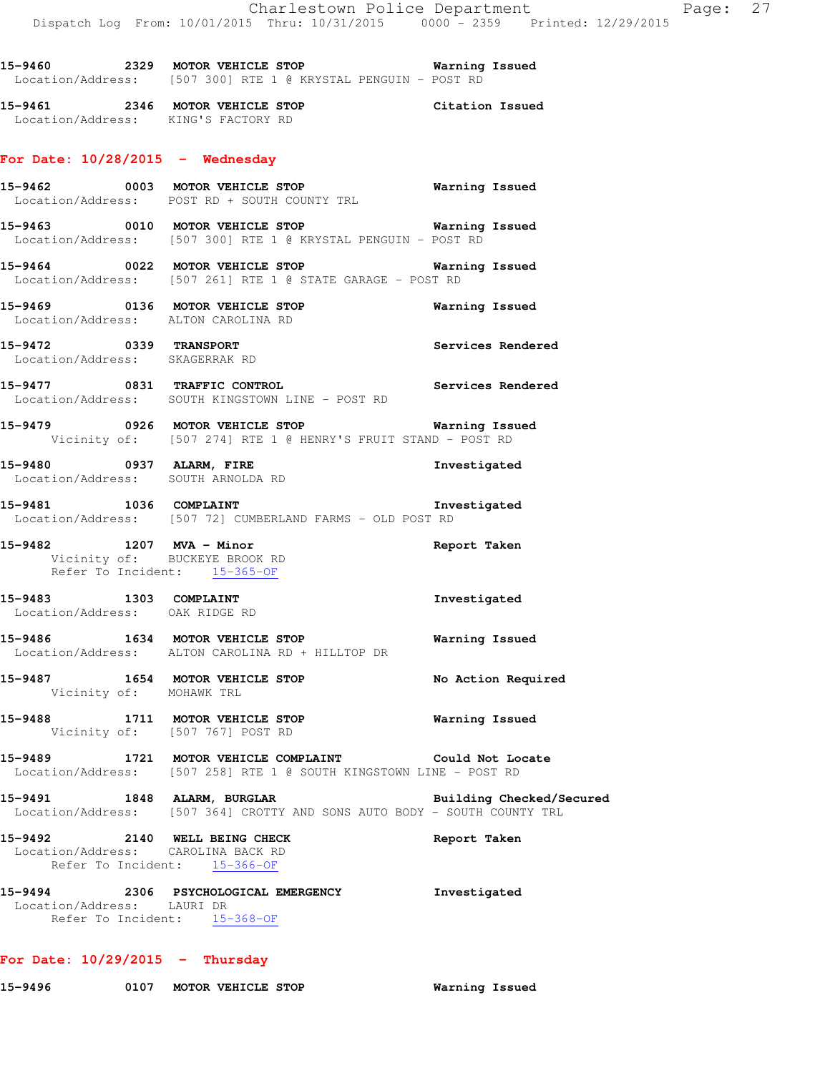**15-9460 2329 MOTOR VEHICLE STOP Warning Issued**  Location/Address: [507 300] RTE 1 @ KRYSTAL PENGUIN - POST RD

**15-9461 2346 MOTOR VEHICLE STOP Citation Issued**  Location/Address: KING'S FACTORY RD

### **For Date: 10/28/2015 - Wednesday**

|                                                                     | 15-9462 0003 MOTOR VEHICLE STOP Warning Issued<br>Location/Address: POST RD + SOUTH COUNTY TRL                              |                          |
|---------------------------------------------------------------------|-----------------------------------------------------------------------------------------------------------------------------|--------------------------|
|                                                                     | 15-9463 0010 MOTOR VEHICLE STOP 6 Warning Issued<br>Location/Address: [507 300] RTE 1 @ KRYSTAL PENGUIN - POST RD           |                          |
|                                                                     | 15-9464 0022 MOTOR VEHICLE STOP 6 Warning Issued<br>Location/Address: [507 261] RTE 1 @ STATE GARAGE - POST RD              |                          |
|                                                                     | 15-9469 0136 MOTOR VEHICLE STOP<br>Location/Address: ALTON CAROLINA RD                                                      | <b>Warning Issued</b>    |
| Location/Address: SKAGERRAK RD                                      | 15-9472 0339 TRANSPORT 2001 2012 Services Rendered                                                                          |                          |
|                                                                     | 15-9477 0831 TRAFFIC CONTROL CONTROL Services Rendered<br>Location/Address: SOUTH KINGSTOWN LINE - POST RD                  |                          |
|                                                                     | Vicinity of: [507 274] RTE 1 @ HENRY'S FRUIT STAND - POST RD                                                                |                          |
|                                                                     | 15-9480 0937 ALARM, FIRE<br>Location/Address: SOUTH ARNOLDA RD                                                              | Investigated             |
|                                                                     | 15-9481 1036 COMPLAINT Thres:<br>Location/Address: [507 72] CUMBERLAND FARMS - OLD POST RD                                  | Investigated             |
| 15-9482 1207 MVA - Minor                                            | Vicinity of: BUCKEYE BROOK RD<br>Refer To Incident<br>Refer To Incident: $15-365-OF$                                        | Report Taken             |
|                                                                     | 15-9483 1303 COMPLAINT<br>Location/Address: OAK RIDGE RD                                                                    | Investigated             |
|                                                                     | 15-9486 1634 MOTOR VEHICLE STOP<br>Location/Address: ALTON CAROLINA RD + HILLTOP DR                                         | <b>Warning Issued</b>    |
| Vicinity of: MOHAWK TRL                                             | 15-9487 1654 MOTOR VEHICLE STOP                                                                                             | No Action Required       |
|                                                                     | 15-9488 1711 MOTOR VEHICLE STOP <b>Warning Issued</b><br>Vicinity of: [507 767] POST RD                                     |                          |
|                                                                     | 15-9489 1721 MOTOR VEHICLE COMPLAINT Could Not Locate<br>Location/Address: [507 258] RTE 1 @ SOUTH KINGSTOWN LINE - POST RD |                          |
| 15-9491                                                             | 1848 ALARM, BURGLAR<br>Location/Address: [507 364] CROTTY AND SONS AUTO BODY - SOUTH COUNTY TRL                             | Building Checked/Secured |
| 15-9492<br>Location/Address: CAROLINA BACK RD<br>Refer To Incident: | 2140 WELL BEING CHECK<br>$15 - 366 - OF$                                                                                    | Report Taken             |
| Location/Address: LAURI DR                                          | 15-9494 2306 PSYCHOLOGICAL EMERGENCY<br>Refer To Incident: 15-368-OF                                                        | Investigated             |

**For Date: 10/29/2015 - Thursday**

**15-9496 0107 MOTOR VEHICLE STOP Warning Issued**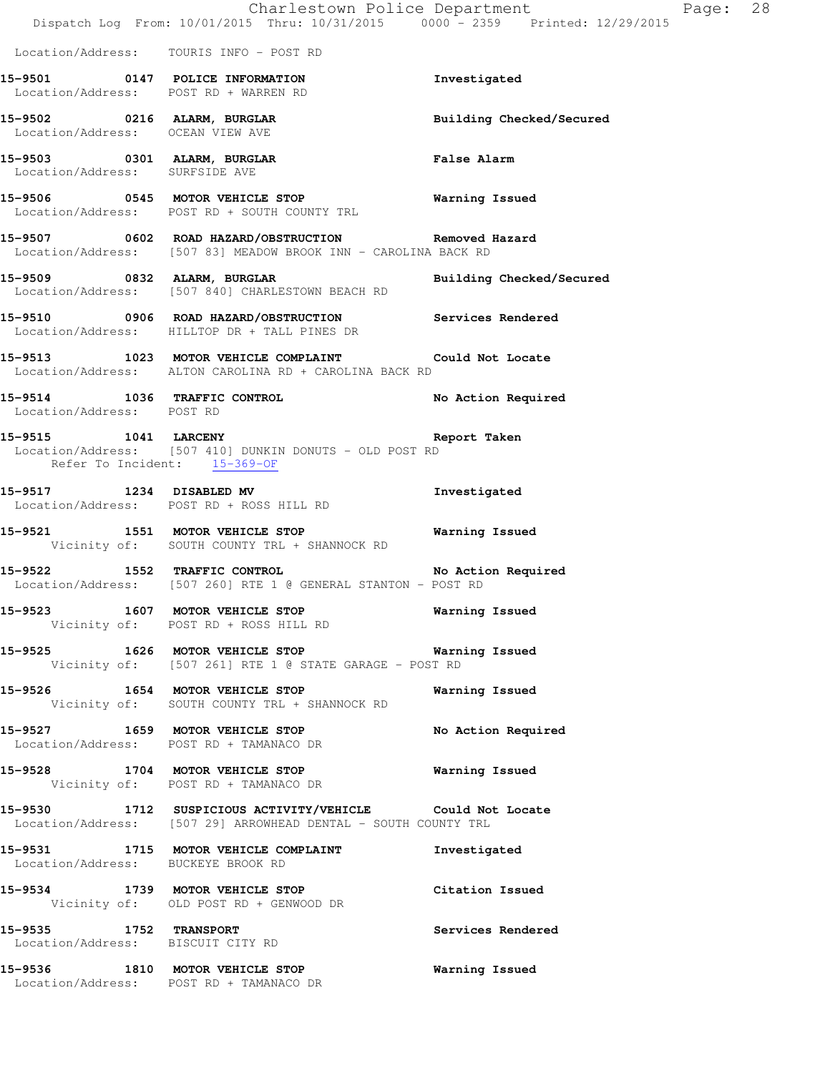|                                  | Dispatch Log From: 10/01/2015 Thru: 10/31/2015 0000 - 2359 Printed: 12/29/2015                                              | Charlestown Police Department Page: 28 |  |
|----------------------------------|-----------------------------------------------------------------------------------------------------------------------------|----------------------------------------|--|
|                                  | Location/Address: TOURIS INFO - POST RD                                                                                     |                                        |  |
|                                  | 15-9501 0147 POLICE INFORMATION<br>Location/Address: POST RD + WARREN RD                                                    | Investigated                           |  |
| Location/Address: OCEAN VIEW AVE | 15-9502 0216 ALARM, BURGLAR                                                                                                 | Building Checked/Secured               |  |
| Location/Address: SURFSIDE AVE   | 15-9503 0301 ALARM, BURGLAR CHARM Palse Alarm                                                                               |                                        |  |
|                                  | 15-9506 0545 MOTOR VEHICLE STOP 6 Warning Issued<br>Location/Address: POST RD + SOUTH COUNTY TRL                            |                                        |  |
|                                  | 15-9507 0602 ROAD HAZARD/OBSTRUCTION Removed Hazard<br>Location/Address: [507 83] MEADOW BROOK INN - CAROLINA BACK RD       |                                        |  |
|                                  | 15-9509 0832 ALARM, BURGLAR<br>Location/Address: [507 840] CHARLESTOWN BEACH RD                                             | Building Checked/Secured               |  |
|                                  | 15-9510 0906 ROAD HAZARD/OBSTRUCTION Services Rendered<br>Location/Address: HILLTOP DR + TALL PINES DR                      |                                        |  |
|                                  | 15-9513 1023 MOTOR VEHICLE COMPLAINT Could Not Locate<br>Location/Address: ALTON CAROLINA RD + CAROLINA BACK RD             |                                        |  |
| Location/Address: POST RD        | 15-9514 1036 TRAFFIC CONTROL No Action Required                                                                             |                                        |  |
| Refer To Incident: 15-369-OF     | 15-9515 1041 LARCENY 10-1 2007 Report Taken<br>Location/Address: [507 410] DUNKIN DONUTS - OLD POST RD                      |                                        |  |
|                                  | 15-9517 1234 DISABLED MV<br>Location/Address: POST RD + ROSS HILL RD                                                        | Investigated                           |  |
|                                  | 15-9521 1551 MOTOR VEHICLE STOP 6 Warning Issued<br>Vicinity of: SOUTH COUNTY TRL + SHANNOCK RD                             |                                        |  |
|                                  | 15-9522 1552 TRAFFIC CONTROL No Action Required<br>Location/Address: [507 260] RTE 1 @ GENERAL STANTON - POST RD            |                                        |  |
|                                  | 15-9523 1607 MOTOR VEHICLE STOP 6 Warning Issued<br>Vicinity of: POST RD + ROSS HILL RD                                     |                                        |  |
|                                  | 15-9525 1626 MOTOR VEHICLE STOP 6 Warning Issued<br>Vicinity of: [507 261] RTE 1 @ STATE GARAGE - POST RD                   |                                        |  |
|                                  | 15-9526 1654 MOTOR VEHICLE STOP<br>Vicinity of: SOUTH COUNTY TRL + SHANNOCK RD                                              | <b>Warning Issued</b>                  |  |
|                                  | 15-9527 1659 MOTOR VEHICLE STOP<br>Location/Address: POST RD + TAMANACO DR                                                  | No Action Required                     |  |
|                                  | 15-9528 1704 MOTOR VEHICLE STOP 6 Warning Issued<br>Vicinity of: POST RD + TAMANACO DR                                      |                                        |  |
|                                  | 15-9530 1712 SUSPICIOUS ACTIVITY/VEHICLE Could Not Locate<br>Location/Address: [507 29] ARROWHEAD DENTAL - SOUTH COUNTY TRL |                                        |  |
|                                  | 15-9531 1715 MOTOR VEHICLE COMPLAINT 1nvestigated<br>Location/Address: BUCKEYE BROOK RD                                     |                                        |  |
|                                  | 15-9534 1739 MOTOR VEHICLE STOP Citation Issued<br>Vicinity of: OLD POST RD + GENWOOD DR                                    |                                        |  |
| 15-9535 1752 TRANSPORT           | Location/Address: BISCUIT CITY RD                                                                                           | Services Rendered                      |  |
|                                  | 15-9536 1810 MOTOR VEHICLE STOP<br>Location/Address: POST RD + TAMANACO DR                                                  | <b>Warning Issued</b>                  |  |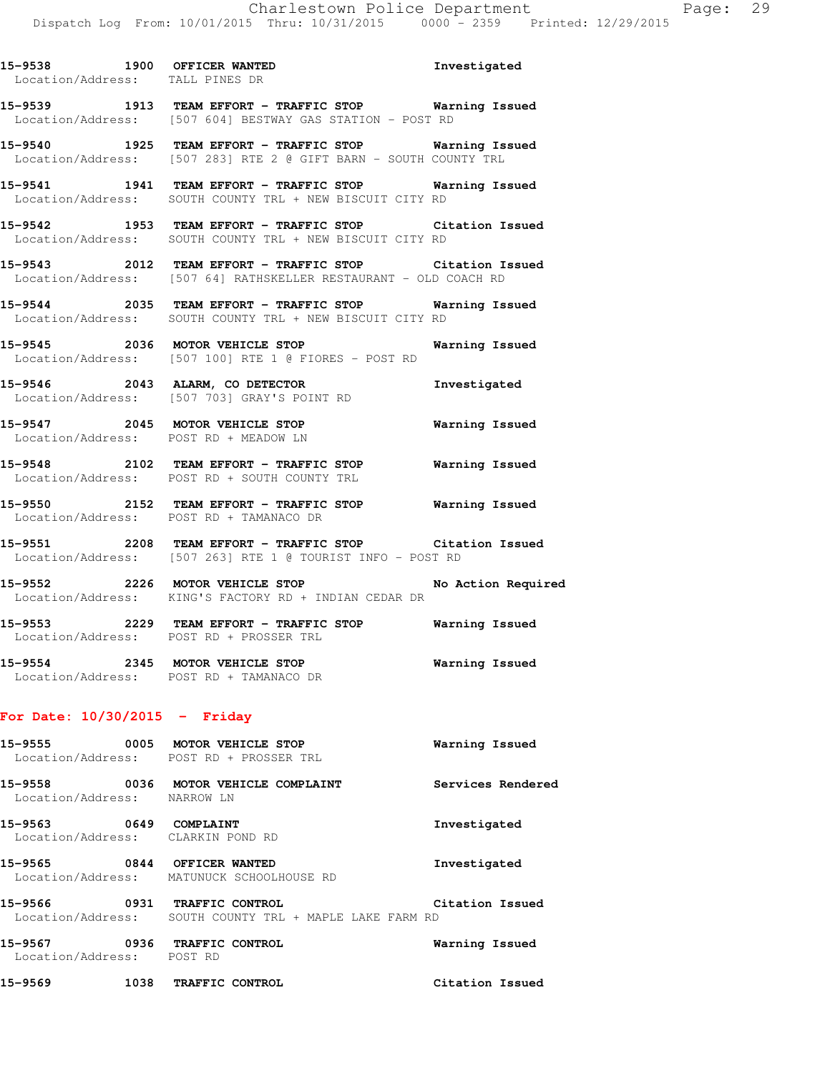| 15-9538<br>1900<br>Location/Address: | Investigated<br>OFFICER WANTED<br>TALL PINES DR                                                           |  |
|--------------------------------------|-----------------------------------------------------------------------------------------------------------|--|
| 15-9539<br>1913                      | TEAM EFFORT - TRAFFIC STOP<br>Warning Issued<br>Location/Address: [507 604] BESTWAY GAS STATION - POST RD |  |
| 1925<br>15-9540<br>Location/Address: | Warning Issued<br>TEAM EFFORT - TRAFFIC STOP<br>[507 283] RTE 2 @ GIFT BARN - SOUTH COUNTY TRL            |  |
| 1941<br>15-9541<br>Location/Address: | Warning Issued<br>TEAM EFFORT - TRAFFIC STOP<br>SOUTH COUNTY TRL + NEW BISCUIT CITY RD                    |  |

**15-9542 1953 TEAM EFFORT - TRAFFIC STOP Citation Issued**  Location/Address: SOUTH COUNTY TRL + NEW BISCUIT CITY RD

**15-9543 2012 TEAM EFFORT - TRAFFIC STOP Citation Issued**  Location/Address: [507 64] RATHSKELLER RESTAURANT - OLD COACH RD

**15-9544 2035 TEAM EFFORT - TRAFFIC STOP Warning Issued**  Location/Address: SOUTH COUNTY TRL + NEW BISCUIT CITY RD

**15-9545 2036 MOTOR VEHICLE STOP Warning Issued**  Location/Address: [507 100] RTE 1 @ FIORES - POST RD

**15-9546 2043 ALARM, CO DETECTOR Investigated**  Location/Address: [507 703] GRAY'S POINT RD

**15-9547 2045 MOTOR VEHICLE STOP Warning Issued**  Location/Address: POST RD + MEADOW LN

**15-9548 2102 TEAM EFFORT - TRAFFIC STOP Warning Issued**  Location/Address: POST RD + SOUTH COUNTY TRL

**15-9550 2152 TEAM EFFORT - TRAFFIC STOP Warning Issued**  Location/Address: POST RD + TAMANACO DR

**15-9551 2208 TEAM EFFORT - TRAFFIC STOP Citation Issued**  Location/Address: [507 263] RTE 1 @ TOURIST INFO - POST RD

**15-9552 2226 MOTOR VEHICLE STOP No Action Required**  Location/Address: KING'S FACTORY RD + INDIAN CEDAR DR

**15-9553 2229 TEAM EFFORT - TRAFFIC STOP Warning Issued**  Location/Address: POST RD + PROSSER TRL

**15-9554 2345 MOTOR VEHICLE STOP Warning Issued**  Location/Address: POST RD + TAMANACO DR

### **For Date: 10/30/2015 - Friday**

| 0005<br>15–9555<br>Location/Address: | MOTOR VEHICLE STOP<br>POST RD + PROSSER TRL                         | Warning Issued    |
|--------------------------------------|---------------------------------------------------------------------|-------------------|
| 15-9558<br>0036<br>Location/Address: | MOTOR VEHICLE COMPLAINT<br>NARROW LN                                | Services Rendered |
| 0649<br>15–9563<br>Location/Address: | COMPLAINT<br>CLARKIN POND RD                                        | Investigated      |
| 0844<br>15–9565<br>Location/Address: | OFFICER WANTED<br>MATUNUCK SCHOOLHOUSE RD                           | Investigated      |
| 0931<br>15-9566<br>Location/Address: | TRAFFIC CONTROL<br>SOUTH COUNTY TRI. + MAPLE LAKE FARM RD           | Citation Issued   |
| $\sim$ $\sim$ $\sim$<br>. <i>.</i> . | $m_{1}$ , $m_{2}$ , $m_{3}$ , $m_{4}$ , $m_{5}$ , $m_{6}$ , $m_{7}$ | .                 |

**15-9567 0936 TRAFFIC CONTROL Warning Issued**  Location/Address: POST RD **15-9569 1038 TRAFFIC CONTROL Citation Issued**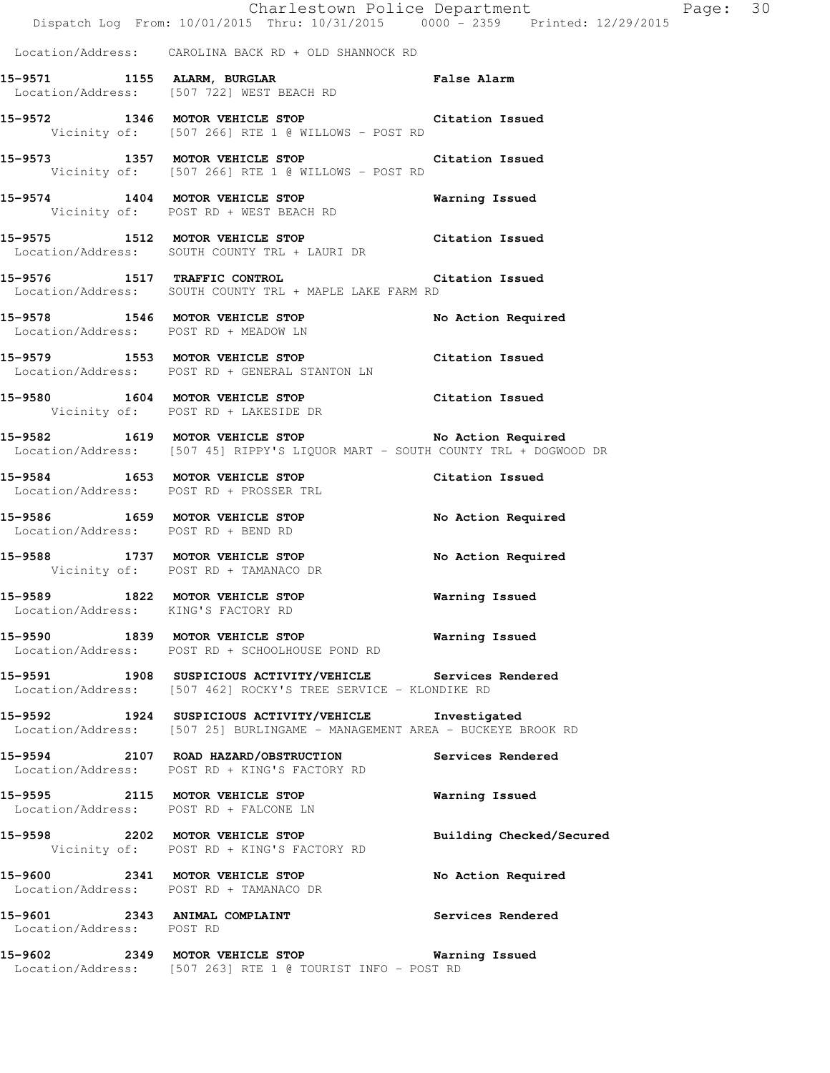Dispatch Log From: 10/01/2015 Thru: 10/31/2015 0000 - 2359 Printed: 12/29/2015 Location/Address: CAROLINA BACK RD + OLD SHANNOCK RD **15-9571 1155 ALARM, BURGLAR False Alarm**  Location/Address: [507 722] WEST BEACH RD **15-9572 1346 MOTOR VEHICLE STOP Citation Issued**  Vicinity of: [507 266] RTE 1 @ WILLOWS - POST RD **15-9573 1357 MOTOR VEHICLE STOP Citation Issued**  Vicinity of: [507 266] RTE 1 @ WILLOWS - POST RD **15-9574 1404 MOTOR VEHICLE STOP Warning Issued**  Vicinity of: POST RD + WEST BEACH RD **15-9575 1512 MOTOR VEHICLE STOP Citation Issued**  Location/Address: SOUTH COUNTY TRL + LAURI DR **15-9576 1517 TRAFFIC CONTROL Citation Issued**  Location/Address: SOUTH COUNTY TRL + MAPLE LAKE FARM RD **15-9578 1546 MOTOR VEHICLE STOP No Action Required**  Location/Address: POST RD + MEADOW LN **15-9579 1553 MOTOR VEHICLE STOP Citation Issued**  Location/Address: POST RD + GENERAL STANTON LN **15-9580 1604 MOTOR VEHICLE STOP Citation Issued**  Vicinity of: POST RD + LAKESIDE DR 15-9582 1619 MOTOR VEHICLE STOP **No Action Required**  Location/Address: [507 45] RIPPY'S LIQUOR MART - SOUTH COUNTY TRL + DOGWOOD DR **15-9584 1653 MOTOR VEHICLE STOP Citation Issued**  Location/Address: POST RD + PROSSER TRL **15-9586 1659 MOTOR VEHICLE STOP No Action Required**  Location/Address: POST RD + BEND RD **15-9588 1737 MOTOR VEHICLE STOP No Action Required**  Vicinity of: POST RD + TAMANACO DR **15-9589 1822 MOTOR VEHICLE STOP Warning Issued**  Location/Address: KING'S FACTORY RD **15-9590 1839 MOTOR VEHICLE STOP Warning Issued**  Location/Address: POST RD + SCHOOLHOUSE POND RD **15-9591 1908 SUSPICIOUS ACTIVITY/VEHICLE Services Rendered**  Location/Address: [507 462] ROCKY'S TREE SERVICE - KLONDIKE RD **15-9592 1924 SUSPICIOUS ACTIVITY/VEHICLE Investigated**  Location/Address: [507 25] BURLINGAME - MANAGEMENT AREA - BUCKEYE BROOK RD **15-9594 2107 ROAD HAZARD/OBSTRUCTION Services Rendered**  Location/Address: POST RD + KING'S FACTORY RD **15-9595 2115 MOTOR VEHICLE STOP Warning Issued**  Location/Address: POST RD + FALCONE LN **15-9598 2202 MOTOR VEHICLE STOP Building Checked/Secured**  Vicinity of: POST RD + KING'S FACTORY RD **15-9600 2341 MOTOR VEHICLE STOP No Action Required**  Location/Address: POST RD + TAMANACO DR **15-9601 2343 ANIMAL COMPLAINT Services Rendered**  Location/Address: POST RD **15-9602 2349 MOTOR VEHICLE STOP Warning Issued**  Location/Address: [507 263] RTE 1 @ TOURIST INFO - POST RD

Charlestown Police Department Page: 30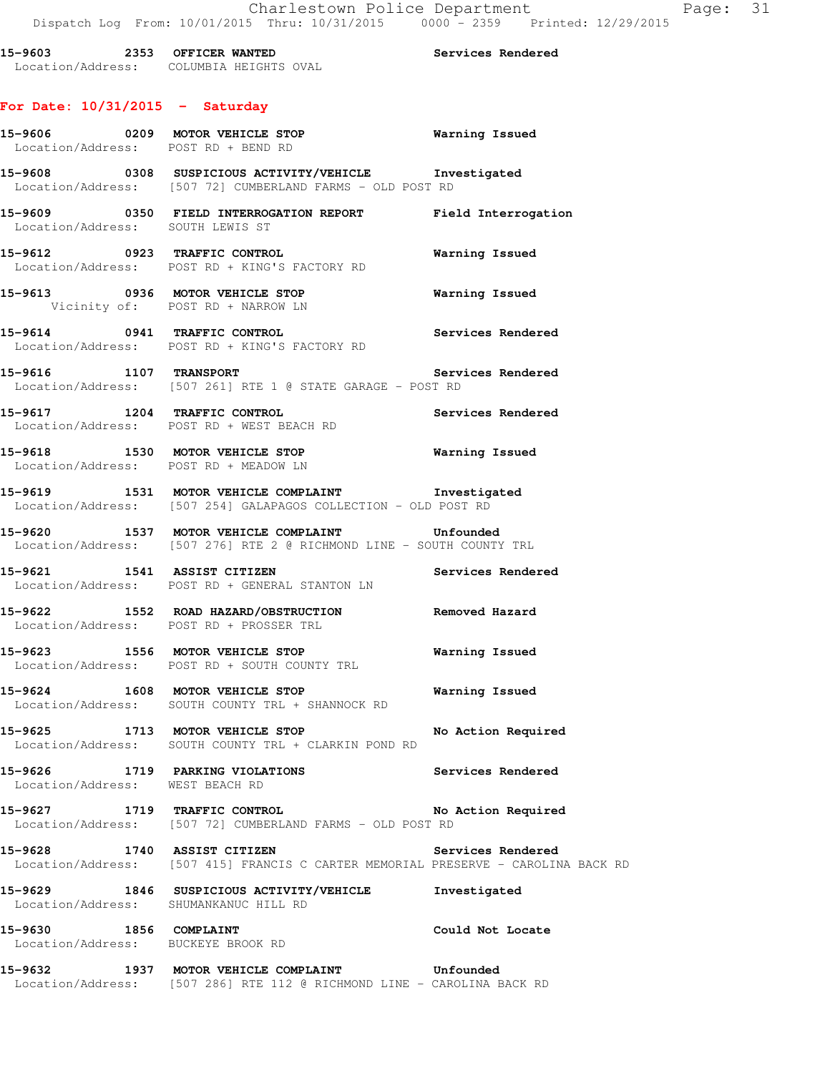**15-9603 2353 OFFICER WANTED Services Rendered**  Location/Address: COLUMBIA HEIGHTS OVAL

# **For Date: 10/31/2015 - Saturday**

| Location/Address: POST RD + BEND RD                          | 15-9606 0209 MOTOR VEHICLE STOP Warning Issued<br>Location/Address: POST RD + BEND RD                                  |                    |
|--------------------------------------------------------------|------------------------------------------------------------------------------------------------------------------------|--------------------|
|                                                              | 15-9608 0308 SUSPICIOUS ACTIVITY/VEHICLE Investigated<br>Location/Address: [507 72] CUMBERLAND FARMS - OLD POST RD     |                    |
| Location/Address: SOUTH LEWIS ST                             | 15-9609 0350 FIELD INTERROGATION REPORT Field Interrogation                                                            |                    |
|                                                              | Location/Address: POST RD + KING'S FACTORY RD                                                                          |                    |
|                                                              | 15-9613 0936 MOTOR VEHICLE STOP <b>120 Marning Issued</b><br>Vicinity of: POST RD + NARROW LN                          |                    |
|                                                              | 15-9614 		 0941 TRAFFIC CONTROL 			 Services Rendered<br>Location/Address: POST RD + KING'S FACTORY RD                 |                    |
| 15-9616 1107 TRANSPORT                                       | Location/Address: [507 261] RTE 1 @ STATE GARAGE - POST RD                                                             | Services Rendered  |
|                                                              | 15-9617 1204 TRAFFIC CONTROL 1988 Services Rendered<br>Location/Address: POST RD + WEST BEACH RD                       |                    |
| Location/Address: POST RD + MEADOW LN                        | 15-9618 1530 MOTOR VEHICLE STOP <b>Warning Issued</b>                                                                  |                    |
|                                                              | 15-9619 1531 MOTOR VEHICLE COMPLAINT 1nvestigated<br>Location/Address: [507 254] GALAPAGOS COLLECTION - OLD POST RD    |                    |
|                                                              | 15-9620 1537 MOTOR VEHICLE COMPLAINT Unfounded<br>Location/Address: [507 276] RTE 2 @ RICHMOND LINE - SOUTH COUNTY TRL |                    |
|                                                              | 15-9621 1541 ASSIST CITIZEN 15-9621<br>Location/Address: POST RD + GENERAL STANTON LN                                  |                    |
|                                                              | 15-9622 1552 ROAD HAZARD/OBSTRUCTION Removed Hazard<br>Location/Address: POST RD + PROSSER TRL                         |                    |
|                                                              | 15-9623 1556 MOTOR VEHICLE STOP 1999 Warning Issued<br>Location/Address: POST RD + SOUTH COUNTY TRL                    |                    |
|                                                              | 15-9624 1608 MOTOR VEHICLE STOP <b>15-9624</b> Warning Issued<br>Location/Address: SOUTH COUNTY TRL + SHANNOCK RD      |                    |
|                                                              | 15-9625 1713 MOTOR VEHICLE STOP<br>Location/Address: SOUTH COUNTY TRL + CLARKIN POND RD                                | No Action Required |
| Location/Address: WEST BEACH RD                              | 15-9626 1719 PARKING VIOLATIONS                                                                                        | Services Rendered  |
|                                                              | . 15-9627 1719 TRAFFIC CONTROL DEREMIS - OLD POST RD .<br>Location/Address: [507 72] CUMBERLAND FARMS - OLD POST RD    | No Action Required |
| 15-9628 1740 ASSIST CITIZEN                                  | Location/Address: [507 415] FRANCIS C CARTER MEMORIAL PRESERVE - CAROLINA BACK RD                                      | Services Rendered  |
| Location/Address: SHUMANKANUC HILL RD                        | 15-9629 1846 SUSPICIOUS ACTIVITY/VEHICLE                                                                               | Investigated       |
| 15-9630 1856 COMPLAINT<br>Location/Address: BUCKEYE BROOK RD |                                                                                                                        | Could Not Locate   |
|                                                              | 15-9632 1937 MOTOR VEHICLE COMPLAINT<br>Location/Address: [507 286] RTE 112 @ RICHMOND LINE - CAROLINA BACK RD         | Unfounded          |